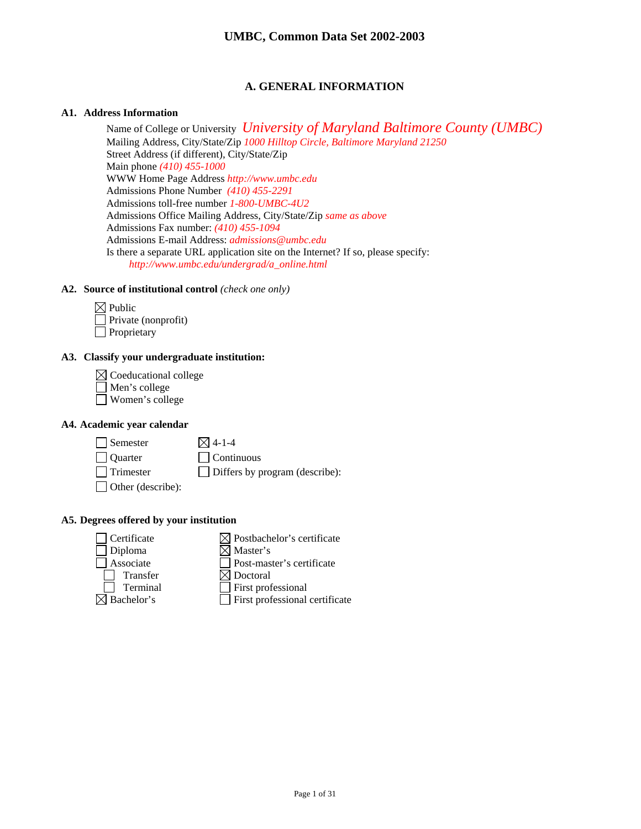## **A. GENERAL INFORMATION**

### **A1. Address Information**

Name of College or University *University of Maryland Baltimore County (UMBC)* Mailing Address, City/State/Zip *1000 Hilltop Circle, Baltimore Maryland 21250*  Street Address (if different), City/State/Zip Main phone *(410) 455-1000*  WWW Home Page Address *http://www.umbc.edu* Admissions Phone Number *(410) 455-2291*  Admissions toll-free number *1-800-UMBC-4U2* Admissions Office Mailing Address, City/State/Zip *same as above* Admissions Fax number: *(410) 455-1094* Admissions E-mail Address: *admissions@umbc.edu* Is there a separate URL application site on the Internet? If so, please specify: *http://www.umbc.edu/undergrad/a\_online.html* 

#### **A2. Source of institutional control** *(check one only)*

| $\boxtimes$ Public         |
|----------------------------|
| $\Box$ Private (nonprofit) |
| $\Box$ Proprietary         |

### **A3. Classify your undergraduate institution:**

| $\boxtimes$ Coeducational college |  |
|-----------------------------------|--|
| Men's college                     |  |
| Women's college                   |  |

## **A4. Academic year calendar**

| $\Box$ Semester          | $\boxtimes$ 4-1-4                     |
|--------------------------|---------------------------------------|
| <b>Quarter</b>           | $\Box$ Continuous                     |
| $\Box$ Trimester         | $\Box$ Differs by program (describe): |
| $\Box$ Other (describe): |                                       |

## **A5. Degrees offered by your institution**

| Certificate | $\boxtimes$ Postbachelor's certificate |
|-------------|----------------------------------------|
| Diploma     | $\boxtimes$ Master's                   |
| Associate   | □ Post-master's certificate            |
| Transfer    | $\boxtimes$ Doctoral                   |
| Terminal    | $\Box$ First professional              |
| Bachelor's  | $\Box$ First professional certificate  |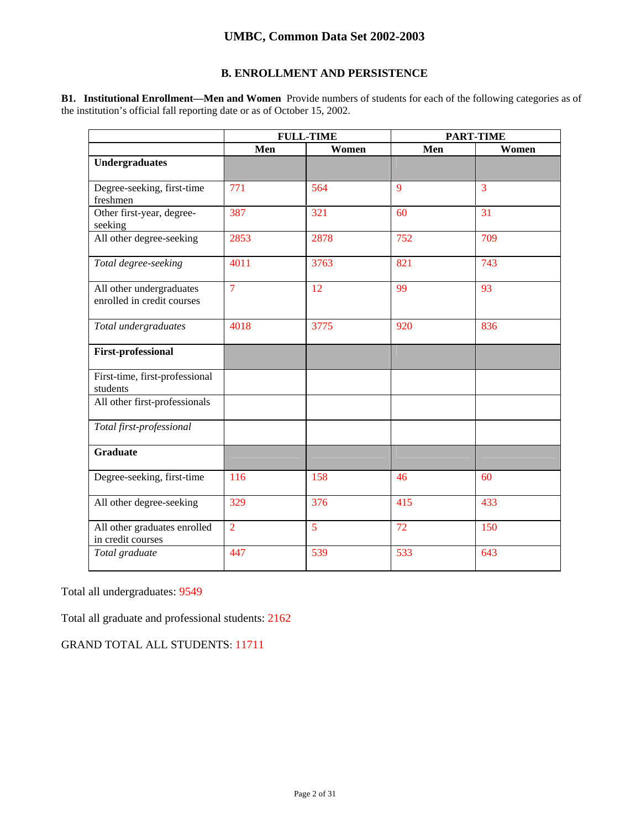## **B. ENROLLMENT AND PERSISTENCE**

**B1. Institutional Enrollment—Men and Women** Provide numbers of students for each of the following categories as of the institution's official fall reporting date or as of October 15, 2002.

|                                                        | <b>FULL-TIME</b> |       | <b>PART-TIME</b> |       |
|--------------------------------------------------------|------------------|-------|------------------|-------|
|                                                        | Men              | Women | Men              | Women |
| <b>Undergraduates</b>                                  |                  |       |                  |       |
| Degree-seeking, first-time<br>freshmen                 | 771              | 564   | 9                | 3     |
| Other first-year, degree-<br>seeking                   | 387              | 321   | 60               | 31    |
| All other degree-seeking                               | 2853             | 2878  | 752              | 709   |
| Total degree-seeking                                   | 4011             | 3763  | 821              | 743   |
| All other undergraduates<br>enrolled in credit courses | $\overline{7}$   | 12    | 99               | 93    |
| Total undergraduates                                   | 4018             | 3775  | 920              | 836   |
| <b>First-professional</b>                              |                  |       |                  |       |
| First-time, first-professional<br>students             |                  |       |                  |       |
| All other first-professionals                          |                  |       |                  |       |
| Total first-professional                               |                  |       |                  |       |
| <b>Graduate</b>                                        |                  |       |                  |       |
| Degree-seeking, first-time                             | 116              | 158   | 46               | 60    |
| All other degree-seeking                               | 329              | 376   | 415              | 433   |
| All other graduates enrolled<br>in credit courses      | $\overline{2}$   | 5     | 72               | 150   |
| Total graduate                                         | 447              | 539   | 533              | 643   |

Total all undergraduates: 9549

Total all graduate and professional students: 2162

GRAND TOTAL ALL STUDENTS: 11711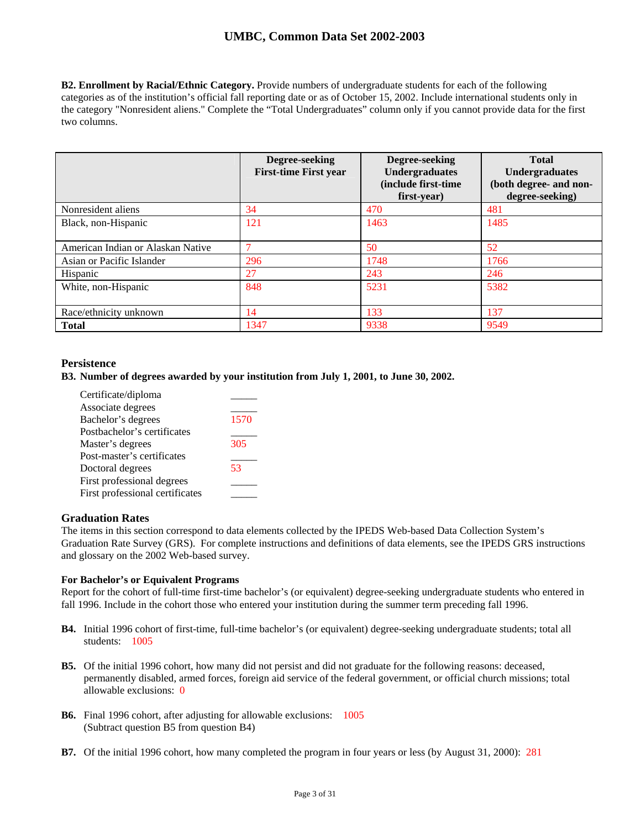**B2. Enrollment by Racial/Ethnic Category.** Provide numbers of undergraduate students for each of the following categories as of the institution's official fall reporting date or as of October 15, 2002. Include international students only in the category "Nonresident aliens." Complete the "Total Undergraduates" column only if you cannot provide data for the first two columns.

|                                   | Degree-seeking<br><b>First-time First year</b> | Degree-seeking<br><b>Undergraduates</b><br>(include first-time<br>first-year) | <b>Total</b><br><b>Undergraduates</b><br>(both degree- and non-<br>degree-seeking) |
|-----------------------------------|------------------------------------------------|-------------------------------------------------------------------------------|------------------------------------------------------------------------------------|
| Nonresident aliens                | 34                                             | 470                                                                           | 481                                                                                |
| Black, non-Hispanic               | 121                                            | 1463                                                                          | 1485                                                                               |
| American Indian or Alaskan Native | $\mathcal{I}$                                  | 50                                                                            | 52                                                                                 |
| Asian or Pacific Islander         | 296                                            | 1748                                                                          | 1766                                                                               |
| Hispanic                          | 27                                             | 243                                                                           | 246                                                                                |
| White, non-Hispanic               | 848                                            | 5231                                                                          | 5382                                                                               |
| Race/ethnicity unknown            | 14                                             | 133                                                                           | 137                                                                                |
| <b>Total</b>                      | 1347                                           | 9338                                                                          | 9549                                                                               |

## **Persistence**

## **B3. Number of degrees awarded by your institution from July 1, 2001, to June 30, 2002.**

| Certificate/diploma             |      |
|---------------------------------|------|
| Associate degrees               |      |
| Bachelor's degrees              | 1570 |
| Postbachelor's certificates     |      |
| Master's degrees                | 305  |
| Post-master's certificates      |      |
| Doctoral degrees                | 53   |
| First professional degrees      |      |
| First professional certificates |      |

## **Graduation Rates**

The items in this section correspond to data elements collected by the IPEDS Web-based Data Collection System's Graduation Rate Survey (GRS). For complete instructions and definitions of data elements, see the IPEDS GRS instructions and glossary on the 2002 Web-based survey.

#### **For Bachelor's or Equivalent Programs**

Report for the cohort of full-time first-time bachelor's (or equivalent) degree-seeking undergraduate students who entered in fall 1996. Include in the cohort those who entered your institution during the summer term preceding fall 1996.

- **B4.** Initial 1996 cohort of first-time, full-time bachelor's (or equivalent) degree-seeking undergraduate students; total all students: 1005
- **B5.** Of the initial 1996 cohort, how many did not persist and did not graduate for the following reasons: deceased, permanently disabled, armed forces, foreign aid service of the federal government, or official church missions; total allowable exclusions: 0
- **B6.** Final 1996 cohort, after adjusting for allowable exclusions: 1005 (Subtract question B5 from question B4)
- **B7.** Of the initial 1996 cohort, how many completed the program in four years or less (by August 31, 2000): 281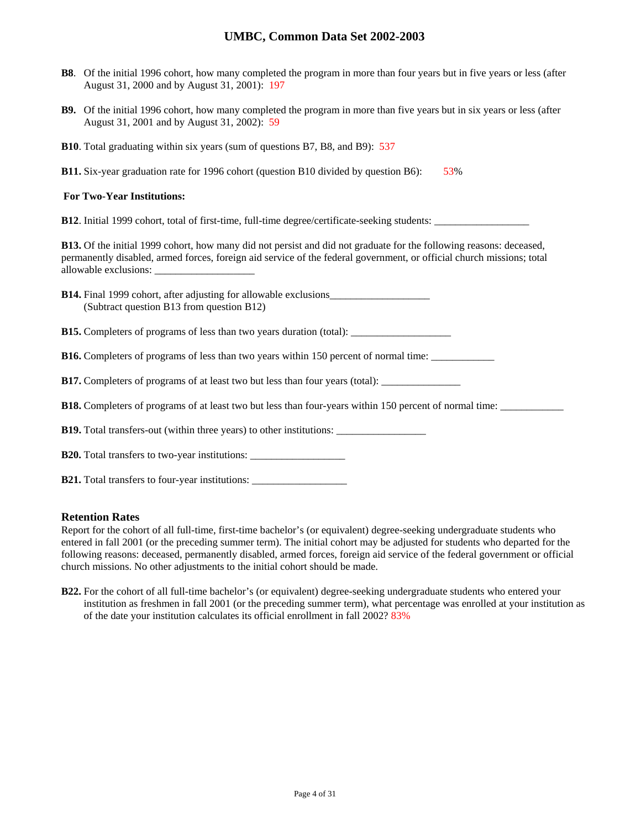- **B8**. Of the initial 1996 cohort, how many completed the program in more than four years but in five years or less (after August 31, 2000 and by August 31, 2001): 197
- **B9.** Of the initial 1996 cohort, how many completed the program in more than five years but in six years or less (after August 31, 2001 and by August 31, 2002): 59
- **B10**. Total graduating within six years (sum of questions B7, B8, and B9): 537

**B11.** Six-year graduation rate for 1996 cohort (question B10 divided by question B6): 53%

### **For Two-Year Institutions:**

**B12**. Initial 1999 cohort, total of first-time, full-time degree/certificate-seeking students:

**B13.** Of the initial 1999 cohort, how many did not persist and did not graduate for the following reasons: deceased, permanently disabled, armed forces, foreign aid service of the federal government, or official church missions; total allowable exclusions: \_\_\_\_\_\_\_\_\_\_\_\_\_\_\_\_\_\_\_

**B14.** Final 1999 cohort, after adjusting for allowable exclusions\_\_\_\_\_\_\_\_\_\_\_\_\_\_\_\_\_\_\_ (Subtract question B13 from question B12)

**B15.** Completers of programs of less than two years duration (total): \_\_\_\_\_\_\_\_\_\_\_\_\_\_\_\_\_\_\_

**B16.** Completers of programs of less than two years within 150 percent of normal time: \_\_\_\_\_\_\_\_\_\_\_\_

**B17.** Completers of programs of at least two but less than four years (total):

**B18.** Completers of programs of at least two but less than four-years within 150 percent of normal time:

**B19.** Total transfers-out (within three years) to other institutions: \_\_\_\_\_\_\_\_\_\_

**B20.** Total transfers to two-year institutions: \_\_\_\_\_\_\_\_\_\_\_\_\_\_\_\_\_\_

**B21.** Total transfers to four-year institutions:

#### **Retention Rates**

Report for the cohort of all full-time, first-time bachelor's (or equivalent) degree-seeking undergraduate students who entered in fall 2001 (or the preceding summer term). The initial cohort may be adjusted for students who departed for the following reasons: deceased, permanently disabled, armed forces, foreign aid service of the federal government or official church missions. No other adjustments to the initial cohort should be made.

**B22.** For the cohort of all full-time bachelor's (or equivalent) degree-seeking undergraduate students who entered your institution as freshmen in fall 2001 (or the preceding summer term), what percentage was enrolled at your institution as of the date your institution calculates its official enrollment in fall 2002? 83%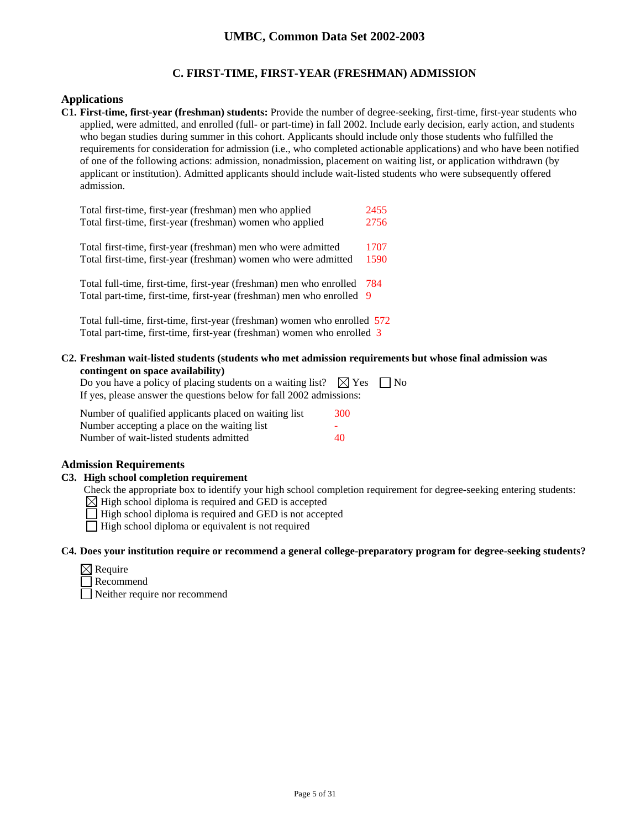## **C. FIRST-TIME, FIRST-YEAR (FRESHMAN) ADMISSION**

### **Applications**

**C1. First-time, first-year (freshman) students:** Provide the number of degree-seeking, first-time, first-year students who applied, were admitted, and enrolled (full- or part-time) in fall 2002. Include early decision, early action, and students who began studies during summer in this cohort. Applicants should include only those students who fulfilled the requirements for consideration for admission (i.e., who completed actionable applications) and who have been notified of one of the following actions: admission, nonadmission, placement on waiting list, or application withdrawn (by applicant or institution). Admitted applicants should include wait-listed students who were subsequently offered admission.

| Total first-time, first-year (freshman) men who applied                                                                                      | 2455 |
|----------------------------------------------------------------------------------------------------------------------------------------------|------|
| Total first-time, first-year (freshman) women who applied                                                                                    | 2756 |
| Total first-time, first-year (freshman) men who were admitted                                                                                | 1707 |
| Total first-time, first-year (freshman) women who were admitted                                                                              | 1590 |
| Total full-time, first-time, first-year (freshman) men who enrolled<br>Total part-time, first-time, first-year (freshman) men who enrolled 9 | -784 |

Total full-time, first-time, first-year (freshman) women who enrolled 572 Total part-time, first-time, first-year (freshman) women who enrolled 3

**C2. Freshman wait-listed students (students who met admission requirements but whose final admission was contingent on space availability)**

| Do you have a policy of placing students on a waiting list? $\boxtimes$ Yes $\Box$ No |  |
|---------------------------------------------------------------------------------------|--|
| If yes, please answer the questions below for fall 2002 admissions:                   |  |

| Number of qualified applicants placed on waiting list | 300 |
|-------------------------------------------------------|-----|
| Number accepting a place on the waiting list          | -   |
| Number of wait-listed students admitted               | 40  |

## **Admission Requirements**

#### **C3. High school completion requirement**

Check the appropriate box to identify your high school completion requirement for degree-seeking entering students:

 $\boxtimes$  High school diploma is required and GED is accepted

 $\Box$  High school diploma is required and GED is not accepted

 $\Box$  High school diploma or equivalent is not required

#### **C4. Does your institution require or recommend a general college-preparatory program for degree-seeking students?**

| Require |
|---------|
|         |

**Recommend** Neither require nor recommend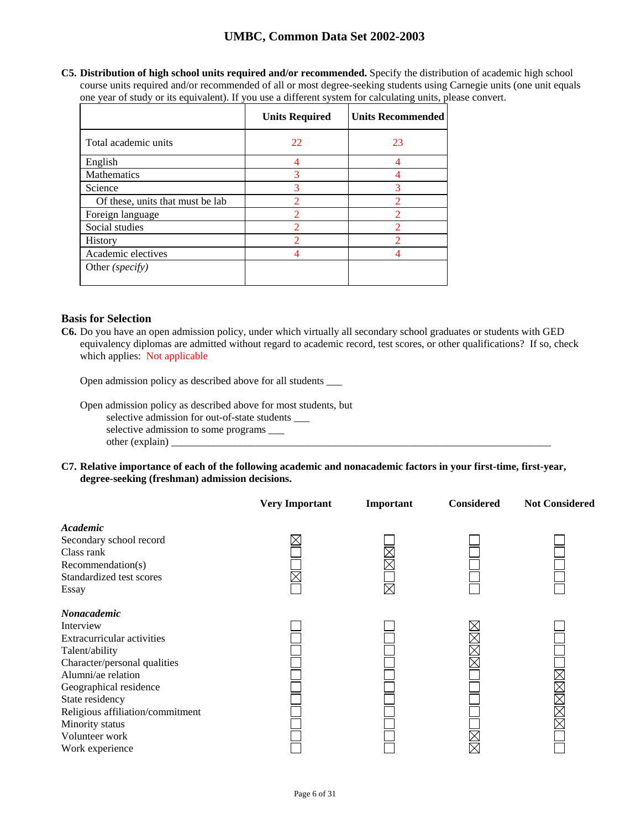**C5. Distribution of high school units required and/or recommended.** Specify the distribution of academic high school course units required and/or recommended of all or most degree-seeking students using Carnegie units (one unit equals one year of study or its equivalent). If you use a different system for calculating units, please convert.

|                                  | <b>Units Required</b>    | <b>Units Recommended</b> |
|----------------------------------|--------------------------|--------------------------|
| Total academic units             | 22                       | 23                       |
| English                          |                          | 4                        |
| Mathematics                      | 3                        |                          |
| Science                          | 3                        | 3                        |
| Of these, units that must be lab | っ                        | っ                        |
| Foreign language                 | 2                        | $\mathcal{P}$            |
| Social studies                   | $\overline{\mathcal{L}}$ | $\mathcal{D}$            |
| History                          | 2                        | ∩                        |
| Academic electives               |                          |                          |
| Other (specify)                  |                          |                          |

## **Basis for Selection**

**C6.** Do you have an open admission policy, under which virtually all secondary school graduates or students with GED equivalency diplomas are admitted without regard to academic record, test scores, or other qualifications? If so, check which applies: Not applicable

Open admission policy as described above for all students \_\_\_

Open admission policy as described above for most students, but selective admission for out-of-state students \_\_\_ selective admission to some programs \_\_\_  $other (explain)$ 

**C7. Relative importance of each of the following academic and nonacademic factors in your first-time, first-year, degree-seeking (freshman) admission decisions.** 

|                                                                                                                                                                                                                                                                         | <b>Very Important</b> | Important   | <b>Considered</b> | <b>Not Considered</b> |
|-------------------------------------------------------------------------------------------------------------------------------------------------------------------------------------------------------------------------------------------------------------------------|-----------------------|-------------|-------------------|-----------------------|
| Academic<br>Secondary school record<br>Class rank<br>Recommendation(s)<br>Standardized test scores<br>Essay                                                                                                                                                             |                       | $\boxtimes$ |                   |                       |
| Nonacademic<br>Interview<br>Extracurricular activities<br>Talent/ability<br>Character/personal qualities<br>Alumni/ae relation<br>Geographical residence<br>State residency<br>Religious affiliation/commitment<br>Minority status<br>Volunteer work<br>Work experience |                       |             |                   | MMMM                  |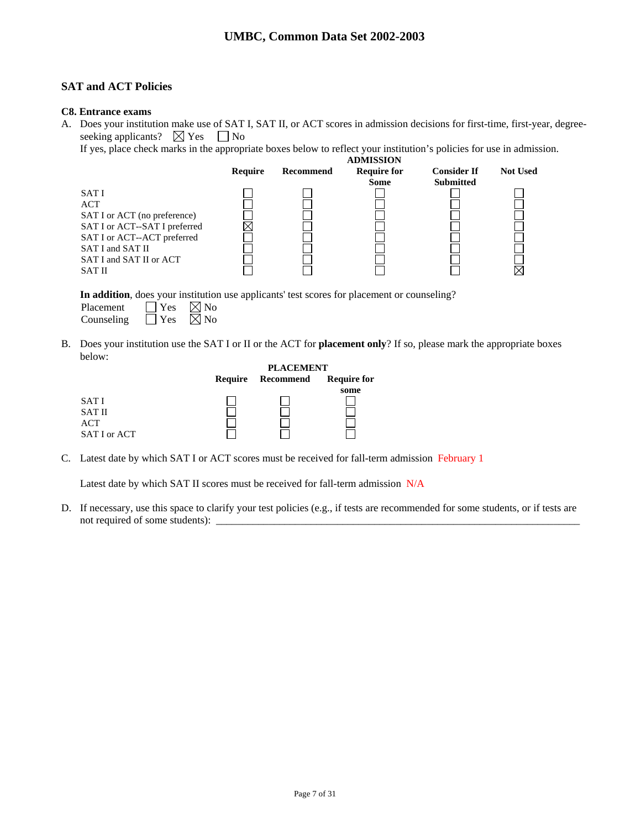## **SAT and ACT Policies**

### **C8. Entrance exams**

A. Does your institution make use of SAT I, SAT II, or ACT scores in admission decisions for first-time, first-year, degreeseeking applicants?  $\boxtimes$  Yes  $\Box$  No

If yes, place check marks in the appropriate boxes below to reflect your institution's policies for use in admission.

|                               |                |           | <b>ADMISSION</b>   |                    |                 |
|-------------------------------|----------------|-----------|--------------------|--------------------|-----------------|
|                               | <b>Require</b> | Recommend | <b>Require for</b> | <b>Consider If</b> | <b>Not Used</b> |
|                               |                |           | <b>Some</b>        | <b>Submitted</b>   |                 |
| SAT I                         |                |           |                    |                    |                 |
| <b>ACT</b>                    |                |           |                    |                    |                 |
| SAT I or ACT (no preference)  |                |           |                    |                    |                 |
| SAT I or ACT--SAT I preferred |                |           |                    |                    |                 |
| SAT I or ACT--ACT preferred   |                |           |                    |                    |                 |
| SAT I and SAT II              |                |           |                    |                    |                 |
| SAT I and SAT II or ACT       |                |           |                    |                    |                 |
| <b>SAT II</b>                 |                |           |                    |                    |                 |
|                               |                |           |                    |                    |                 |

**In addition**, does your institution use applicants' test scores for placement or counseling?

| Placement  | $\blacksquare$ Yes | $\boxtimes$ No |
|------------|--------------------|----------------|
| Counseling | $\Box$ Yes         | $\boxtimes$ No |

B. Does your institution use the SAT I or II or the ACT for **placement only**? If so, please mark the appropriate boxes below:

|               |         | <b>PLACEMENT</b> |                    |  |
|---------------|---------|------------------|--------------------|--|
|               | Require | Recommend        | <b>Require for</b> |  |
|               |         |                  | some               |  |
| <b>SATI</b>   |         |                  |                    |  |
| <b>SAT II</b> |         |                  |                    |  |
| ACT           |         |                  |                    |  |
| SAT I or ACT  |         |                  |                    |  |

C. Latest date by which SAT I or ACT scores must be received for fall-term admission February 1

Latest date by which SAT II scores must be received for fall-term admission N/A

D. If necessary, use this space to clarify your test policies (e.g., if tests are recommended for some students, or if tests are not required of some students): \_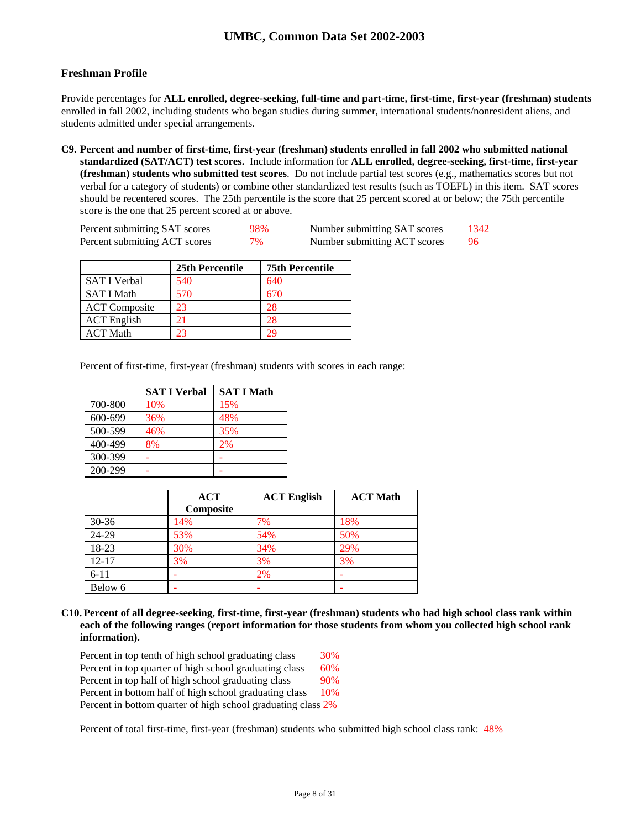## **Freshman Profile**

Provide percentages for **ALL enrolled, degree-seeking, full-time and part-time, first-time, first-year (freshman) students**  enrolled in fall 2002, including students who began studies during summer, international students/nonresident aliens, and students admitted under special arrangements.

**C9. Percent and number of first-time, first-year (freshman) students enrolled in fall 2002 who submitted national standardized (SAT/ACT) test scores.** Include information for **ALL enrolled, degree-seeking, first-time, first-year (freshman) students who submitted test scores**. Do not include partial test scores (e.g., mathematics scores but not verbal for a category of students) or combine other standardized test results (such as TOEFL) in this item. SAT scores should be recentered scores. The 25th percentile is the score that 25 percent scored at or below; the 75th percentile score is the one that 25 percent scored at or above.

| Percent submitting SAT scores | 98% | Number submitting SAT scores | 1342 |
|-------------------------------|-----|------------------------------|------|
| Percent submitting ACT scores | 7%  | Number submitting ACT scores |      |

|                      | 25th Percentile | <b>75th Percentile</b> |
|----------------------|-----------------|------------------------|
| <b>SAT I Verbal</b>  | 540             | 640                    |
| <b>SAT I Math</b>    | 570             | 670                    |
| <b>ACT</b> Composite | 23              | 28                     |
| <b>ACT</b> English   | 21              | 28                     |
| <b>ACT Math</b>      | 23              | 29                     |

Percent of first-time, first-year (freshman) students with scores in each range:

|         | <b>SAT I Verbal</b> | <b>SAT I Math</b> |
|---------|---------------------|-------------------|
| 700-800 | 10%                 | 15%               |
| 600-699 | 36%                 | 48%               |
| 500-599 | 46%                 | 35%               |
| 400-499 | 8%                  | 2%                |
| 300-399 |                     |                   |
| 200-299 |                     |                   |

|           | <b>ACT</b> | <b>ACT English</b> | <b>ACT Math</b> |
|-----------|------------|--------------------|-----------------|
|           | Composite  |                    |                 |
| $30 - 36$ | 14%        | 7%                 | 18%             |
| 24-29     | 53%        | 54%                | 50%             |
| 18-23     | 30%        | 34%                | 29%             |
| $12 - 17$ | 3%         | 3%                 | 3%              |
| $6 - 11$  |            | 2%                 |                 |
| Below 6   | -          |                    |                 |

**C10. Percent of all degree-seeking, first-time, first-year (freshman) students who had high school class rank within each of the following ranges (report information for those students from whom you collected high school rank information).** 

| Percent in top tenth of high school graduating class         | <b>30%</b> |
|--------------------------------------------------------------|------------|
| Percent in top quarter of high school graduating class       | 60%        |
| Percent in top half of high school graduating class          | 90%        |
| Percent in bottom half of high school graduating class       | 10%        |
| Percent in bottom quarter of high school graduating class 2% |            |

Percent of total first-time, first-year (freshman) students who submitted high school class rank: 48%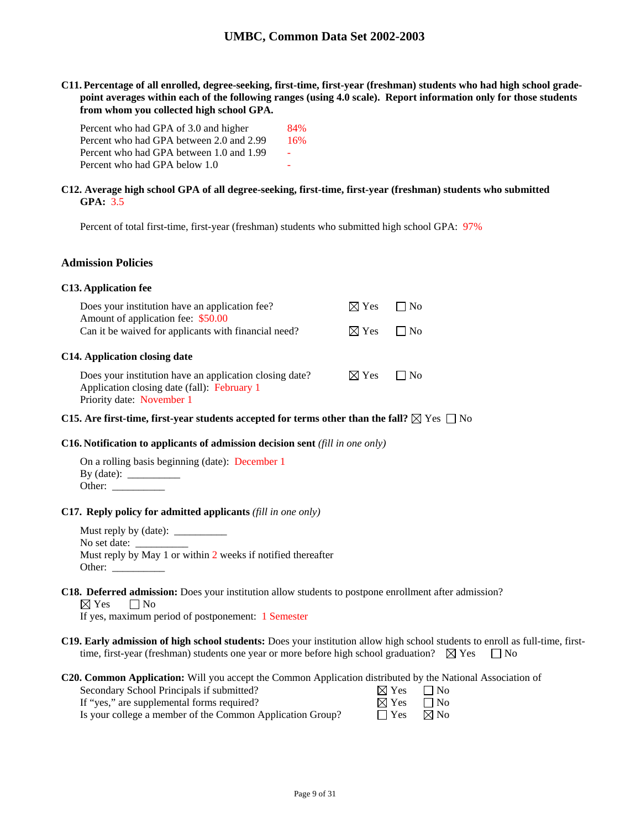**C11. Percentage of all enrolled, degree-seeking, first-time, first-year (freshman) students who had high school gradepoint averages within each of the following ranges (using 4.0 scale). Report information only for those students from whom you collected high school GPA.** 

| Percent who had GPA of 3.0 and higher    | 84%                      |
|------------------------------------------|--------------------------|
| Percent who had GPA between 2.0 and 2.99 | 16%                      |
| Percent who had GPA between 1.0 and 1.99 | $\overline{\phantom{a}}$ |
| Percent who had GPA below 1.0            |                          |

### **C12. Average high school GPA of all degree-seeking, first-time, first-year (freshman) students who submitted GPA:** 3.5

Percent of total first-time, first-year (freshman) students who submitted high school GPA: 97%

#### **Admission Policies**

### **C13. Application fee**

| Does your institution have an application fee?                                                                                      | $\boxtimes$ Yes | $\Box$ No |  |
|-------------------------------------------------------------------------------------------------------------------------------------|-----------------|-----------|--|
| Amount of application fee: \$50.00<br>Can it be waived for applicants with financial need?                                          | $\boxtimes$ Yes | $\Box$ No |  |
| C14. Application closing date                                                                                                       |                 |           |  |
| Does your institution have an application closing date?<br>Application closing date (fall): February 1<br>Priority date: November 1 | $\boxtimes$ Yes | $\Box$ No |  |

### **C15.** Are first-time, first-year students accepted for terms other than the fall?  $\boxtimes$  Yes  $\Box$  No

### **C16. Notification to applicants of admission decision sent** *(fill in one only)*

On a rolling basis beginning (date): December 1 By (date):  $\frac{ }{ }$ Other:  $\_\_$ 

#### **C17. Reply policy for admitted applicants** *(fill in one only)*

Must reply by (date): \_\_\_\_\_\_\_\_\_\_ No set date: \_ Must reply by May 1 or within 2 weeks if notified thereafter Other:

## **C18. Deferred admission:** Does your institution allow students to postpone enrollment after admission?

 $\boxtimes$  Yes  $\Box$  No

If yes, maximum period of postponement: 1 Semester

**C19. Early admission of high school students:** Does your institution allow high school students to enroll as full-time, firsttime, first-year (freshman) students one year or more before high school graduation?  $\boxtimes$  Yes  $\Box$  No

#### **C20. Common Application:** Will you accept the Common Application distributed by the National Association of

| Secondary School Principals if submitted?                 | $\boxtimes$ Yes $\Box$ No |  |
|-----------------------------------------------------------|---------------------------|--|
| If "yes," are supplemental forms required?                | $\boxtimes$ Yes $\Box$ No |  |
| Is your college a member of the Common Application Group? | $\Box$ Yes $\Box$ No      |  |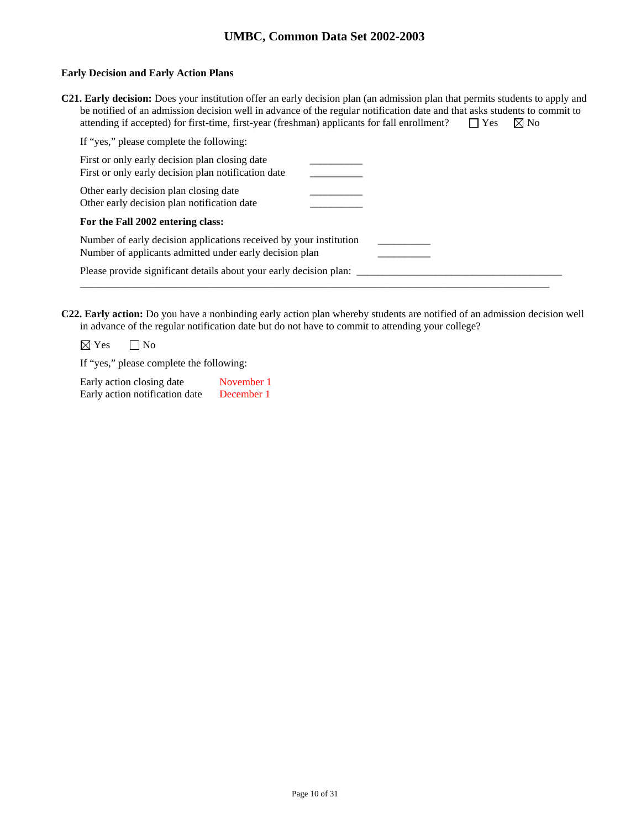### **Early Decision and Early Action Plans**

| C21. Early decision: Does your institution offer an early decision plan (an admission plan that permits students to apply and |                      |  |
|-------------------------------------------------------------------------------------------------------------------------------|----------------------|--|
| be notified of an admission decision well in advance of the regular notification date and that asks students to commit to     |                      |  |
| attending if accepted) for first-time, first-year (freshman) applicants for fall enrollment?                                  | $\Box$ Yes $\Box$ No |  |

**C22. Early action:** Do you have a nonbinding early action plan whereby students are notified of an admission decision well in advance of the regular notification date but do not have to commit to attending your college?

 $\boxtimes$  Yes  $\Box$  No

If "yes," please complete the following:

| Early action closing date      | November 1 |
|--------------------------------|------------|
| Early action notification date | December 1 |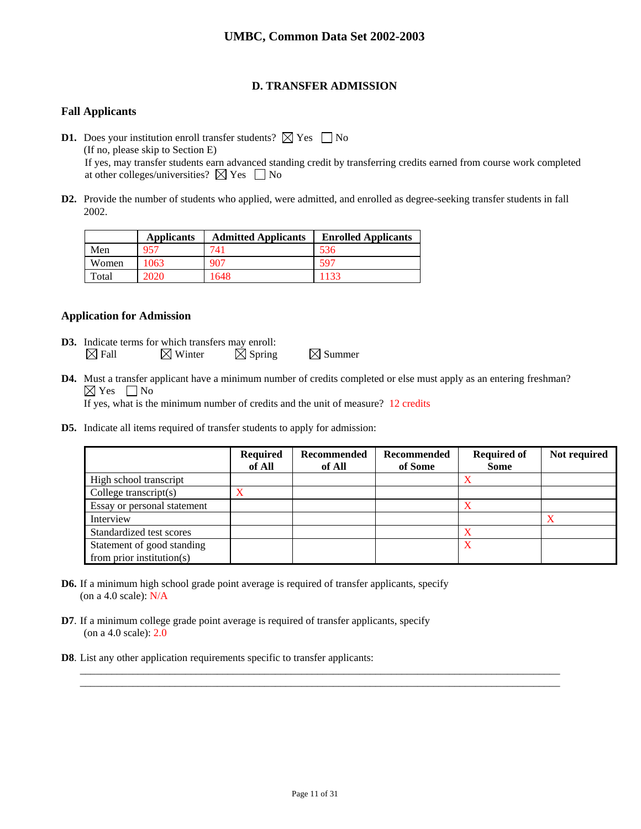## **D. TRANSFER ADMISSION**

## **Fall Applicants**

**D1.** Does your institution enroll transfer students?  $\boxtimes$  Yes  $\Box$  No (If no, please skip to Section E) If yes, may transfer students earn advanced standing credit by transferring credits earned from course work completed at other colleges/universities?  $\boxtimes$  Yes  $\Box$  No

**D2.** Provide the number of students who applied, were admitted, and enrolled as degree-seeking transfer students in fall 2002.

|       | <b>Applicants</b> | <b>Admitted Applicants</b> | <b>Enrolled Applicants</b> |
|-------|-------------------|----------------------------|----------------------------|
| Men   | 957               | 741                        | 536                        |
| Women | 1063              | 907                        | .590                       |
| Total | 2020              | 1648                       | 1133                       |

## **Application for Admission**

- **D3.** Indicate terms for which transfers may enroll:  $\boxtimes$  Fall  $\boxtimes$  Winter  $\boxtimes$  Spring  $\boxtimes$  Summer
- **D4.** Must a transfer applicant have a minimum number of credits completed or else must apply as an entering freshman?  $\boxtimes$  Yes  $\Box$  No If yes, what is the minimum number of credits and the unit of measure? 12 credits
- **D5.** Indicate all items required of transfer students to apply for admission:

|                               | <b>Required</b><br>of All | Recommended<br>of All | Recommended<br>of Some | <b>Required of</b><br><b>Some</b> | Not required |
|-------------------------------|---------------------------|-----------------------|------------------------|-----------------------------------|--------------|
| High school transcript        |                           |                       |                        | x                                 |              |
| College transcript $(s)$      |                           |                       |                        |                                   |              |
| Essay or personal statement   |                           |                       |                        |                                   |              |
| Interview                     |                           |                       |                        |                                   |              |
| Standardized test scores      |                           |                       |                        |                                   |              |
| Statement of good standing    |                           |                       |                        | x                                 |              |
| from prior institution( $s$ ) |                           |                       |                        |                                   |              |

- **D6.** If a minimum high school grade point average is required of transfer applicants, specify (on a 4.0 scale): N/A
- **D7**. If a minimum college grade point average is required of transfer applicants, specify (on a 4.0 scale): 2.0
- **D8**. List any other application requirements specific to transfer applicants:

\_\_\_\_\_\_\_\_\_\_\_\_\_\_\_\_\_\_\_\_\_\_\_\_\_\_\_\_\_\_\_\_\_\_\_\_\_\_\_\_\_\_\_\_\_\_\_\_\_\_\_\_\_\_\_\_\_\_\_\_\_\_\_\_\_\_\_\_\_\_\_\_\_\_\_\_\_\_\_\_\_\_\_\_\_\_\_\_\_\_\_ \_\_\_\_\_\_\_\_\_\_\_\_\_\_\_\_\_\_\_\_\_\_\_\_\_\_\_\_\_\_\_\_\_\_\_\_\_\_\_\_\_\_\_\_\_\_\_\_\_\_\_\_\_\_\_\_\_\_\_\_\_\_\_\_\_\_\_\_\_\_\_\_\_\_\_\_\_\_\_\_\_\_\_\_\_\_\_\_\_\_\_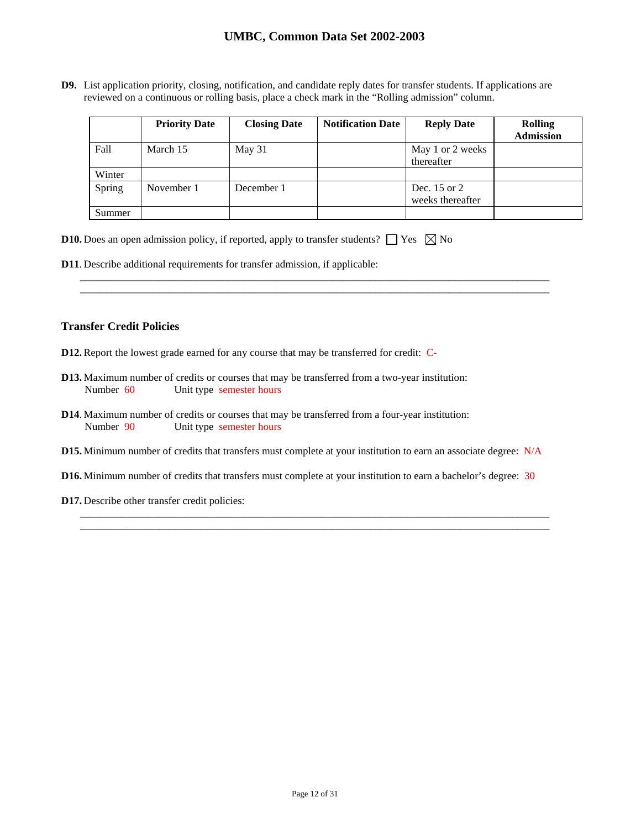**D9.** List application priority, closing, notification, and candidate reply dates for transfer students. If applications are reviewed on a continuous or rolling basis, place a check mark in the "Rolling admission" column.

|        | <b>Priority Date</b> | <b>Closing Date</b> | <b>Notification Date</b> | <b>Reply Date</b>                | <b>Rolling</b><br><b>Admission</b> |
|--------|----------------------|---------------------|--------------------------|----------------------------------|------------------------------------|
| Fall   | March 15             | May 31              |                          | May 1 or 2 weeks<br>thereafter   |                                    |
| Winter |                      |                     |                          |                                  |                                    |
| Spring | November 1           | December 1          |                          | Dec. 15 or 2<br>weeks thereafter |                                    |
| Summer |                      |                     |                          |                                  |                                    |

\_\_\_\_\_\_\_\_\_\_\_\_\_\_\_\_\_\_\_\_\_\_\_\_\_\_\_\_\_\_\_\_\_\_\_\_\_\_\_\_\_\_\_\_\_\_\_\_\_\_\_\_\_\_\_\_\_\_\_\_\_\_\_\_\_\_\_\_\_\_\_\_\_\_\_\_\_\_\_\_\_\_\_\_\_\_\_\_\_ \_\_\_\_\_\_\_\_\_\_\_\_\_\_\_\_\_\_\_\_\_\_\_\_\_\_\_\_\_\_\_\_\_\_\_\_\_\_\_\_\_\_\_\_\_\_\_\_\_\_\_\_\_\_\_\_\_\_\_\_\_\_\_\_\_\_\_\_\_\_\_\_\_\_\_\_\_\_\_\_\_\_\_\_\_\_\_\_\_

| <b>D10.</b> Does an open admission policy, if reported, apply to transfer students? $\Box$ Yes $\boxtimes$ No |  |  |  |  |
|---------------------------------------------------------------------------------------------------------------|--|--|--|--|
|---------------------------------------------------------------------------------------------------------------|--|--|--|--|

**D11**. Describe additional requirements for transfer admission, if applicable:

### **Transfer Credit Policies**

- **D12.** Report the lowest grade earned for any course that may be transferred for credit: C-
- **D13.** Maximum number of credits or courses that may be transferred from a two-year institution: Number 60 Unit type semester hours
- **D14**. Maximum number of credits or courses that may be transferred from a four-year institution: Number 90 Unit type semester hours
- **D15.** Minimum number of credits that transfers must complete at your institution to earn an associate degree: N/A
- **D16.** Minimum number of credits that transfers must complete at your institution to earn a bachelor's degree: 30

\_\_\_\_\_\_\_\_\_\_\_\_\_\_\_\_\_\_\_\_\_\_\_\_\_\_\_\_\_\_\_\_\_\_\_\_\_\_\_\_\_\_\_\_\_\_\_\_\_\_\_\_\_\_\_\_\_\_\_\_\_\_\_\_\_\_\_\_\_\_\_\_\_\_\_\_\_\_\_\_\_\_\_\_\_\_\_\_\_ \_\_\_\_\_\_\_\_\_\_\_\_\_\_\_\_\_\_\_\_\_\_\_\_\_\_\_\_\_\_\_\_\_\_\_\_\_\_\_\_\_\_\_\_\_\_\_\_\_\_\_\_\_\_\_\_\_\_\_\_\_\_\_\_\_\_\_\_\_\_\_\_\_\_\_\_\_\_\_\_\_\_\_\_\_\_\_\_\_

**D17.** Describe other transfer credit policies: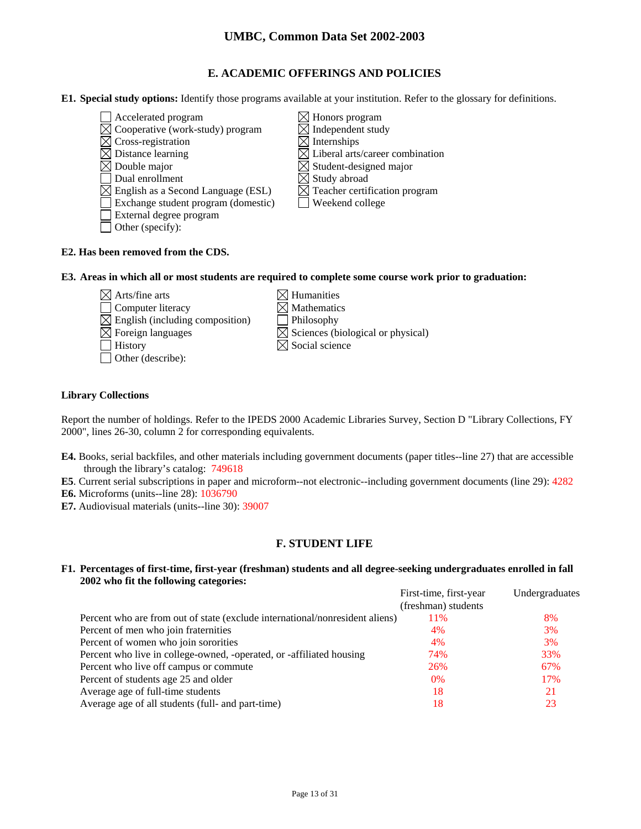## **E. ACADEMIC OFFERINGS AND POLICIES**

**E1. Special study options:** Identify those programs available at your institution. Refer to the glossary for definitions.

- $\Box$  Accelerated program  $\boxtimes$  Honors program  $\boxtimes$  Cooperative (work-study) program  $\boxtimes$  Independent study
- $\boxtimes$  Cross-registration  $\boxtimes$  Internships
- 
- 
- 
- $\boxtimes$  English as a Second Language (ESL)
- Exchange student program (domestic)  $\Box$  Weekend college
- External degree program
- □ Other (specify):
- $\boxtimes$  Distance learning  $\boxtimes$  Liberal arts/career combination  $\boxtimes$  Double major  $\boxtimes$  Student-designed major Dual enrollment<br>
English as a Second Language (ESL)  $\boxtimes$  Teacher certification program
	-

## **E2. Has been removed from the CDS.**

**E3. Areas in which all or most students are required to complete some course work prior to graduation:** 

- $\boxtimes$  Arts/fine arts  $\boxtimes$  Humanities  $\Box$  Computer literacy  $\boxtimes$  Mathematics  $\boxtimes$  English (including composition)  $\Box$  Philosophy  $\Box$  History  $\boxtimes$  Social science
- Other (describe):
- 
- 
- $\boxtimes$  Foreign languages  $\boxtimes$  Sciences (biological or physical)
	-

## **Library Collections**

Report the number of holdings. Refer to the IPEDS 2000 Academic Libraries Survey, Section D "Library Collections, FY 2000", lines 26-30, column 2 for corresponding equivalents.

- **E4.** Books, serial backfiles, and other materials including government documents (paper titles--line 27) that are accessible through the library's catalog: 749618
- **E5**. Current serial subscriptions in paper and microform--not electronic--including government documents (line 29): 4282
- **E6.** Microforms (units--line 28): 1036790
- **E7.** Audiovisual materials (units--line 30): 39007

## **F. STUDENT LIFE**

### **F1. Percentages of first-time, first-year (freshman) students and all degree-seeking undergraduates enrolled in fall 2002 who fit the following categories:**

|                                                                              | First-time, first-year | Undergraduates |
|------------------------------------------------------------------------------|------------------------|----------------|
|                                                                              | (freshman) students    |                |
| Percent who are from out of state (exclude international/nonresident aliens) | 11%                    | 8%             |
| Percent of men who join fraternities                                         | 4%                     | 3%             |
| Percent of women who join sororities                                         | 4%                     | 3%             |
| Percent who live in college-owned, -operated, or -affiliated housing         | 74%                    | 33%            |
| Percent who live off campus or commute                                       | 26%                    | 67%            |
| Percent of students age 25 and older                                         | $0\%$                  | 17%            |
| Average age of full-time students                                            | 18                     | 21             |
| Average age of all students (full- and part-time)                            | 18                     | 23             |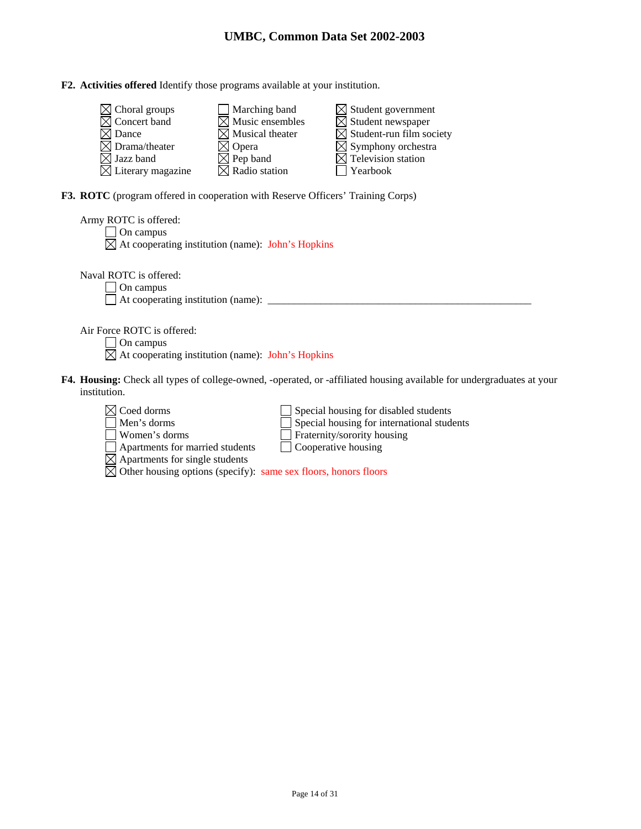## **F2. Activities offered** Identify those programs available at your institution.

| $\boxtimes$ Choral groups     | $\Box$ Marching band        | $\boxtimes$ Student government       |
|-------------------------------|-----------------------------|--------------------------------------|
| $\boxtimes$ Concert band      | $\boxtimes$ Music ensembles | $\boxtimes$ Student newspaper        |
| $\boxtimes$ Dance             | $\boxtimes$ Musical theater | $\boxtimes$ Student-run film society |
| $\boxtimes$ Drama/theater     | $\boxtimes$ Opera           | $\boxtimes$ Symphony orchestra       |
| $\boxtimes$ Jazz band         | $\boxtimes$ Pep band        | $\boxtimes$ Television station       |
| $\boxtimes$ Literary magazine | $\boxtimes$ Radio station   | $\Box$ Yearbook                      |

**F3. ROTC** (program offered in cooperation with Reserve Officers' Training Corps)

Apartments for married students  $\Box$  Cooperative housing

Other housing options (specify): same sex floors, honors floors

Apartments for single students

| Army ROTC is offered:                                                                                                        |
|------------------------------------------------------------------------------------------------------------------------------|
| On campus                                                                                                                    |
| $\boxtimes$ At cooperating institution (name): John's Hopkins                                                                |
|                                                                                                                              |
| Naval ROTC is offered:                                                                                                       |
| On campus                                                                                                                    |
| At cooperating institution (name):                                                                                           |
|                                                                                                                              |
| Air Force ROTC is offered:                                                                                                   |
| On campus                                                                                                                    |
| $\boxtimes$ At cooperating institution (name): John's Hopkins                                                                |
|                                                                                                                              |
| <b>F4. Housing:</b> Check all types of college-owned, -operated, or -affiliated housing available for undergraduates at your |
| institution.                                                                                                                 |
|                                                                                                                              |
| $\times$ Coed dorms<br>Special housing for disabled students                                                                 |
| Special housing for international students<br>Men's dorms                                                                    |
| Fraternity/sorority housing<br>Women's dorms                                                                                 |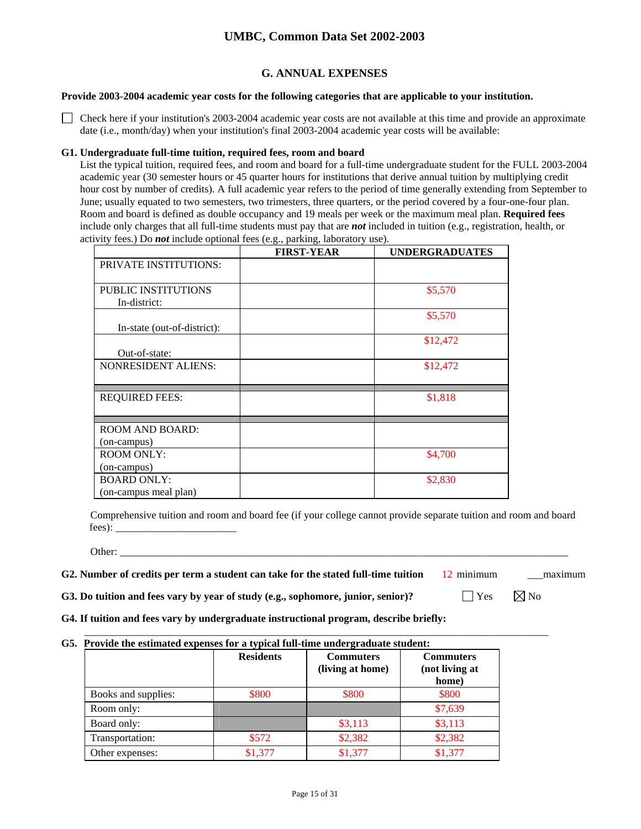## **G. ANNUAL EXPENSES**

### **Provide 2003-2004 academic year costs for the following categories that are applicable to your institution.**

 $\Box$  Check here if your institution's 2003-2004 academic year costs are not available at this time and provide an approximate date (i.e., month/day) when your institution's final 2003-2004 academic year costs will be available:

### **G1. Undergraduate full-time tuition, required fees, room and board**

List the typical tuition, required fees, and room and board for a full-time undergraduate student for the FULL 2003-2004 academic year (30 semester hours or 45 quarter hours for institutions that derive annual tuition by multiplying credit hour cost by number of credits). A full academic year refers to the period of time generally extending from September to June; usually equated to two semesters, two trimesters, three quarters, or the period covered by a four-one-four plan. Room and board is defined as double occupancy and 19 meals per week or the maximum meal plan. **Required fees** include only charges that all full-time students must pay that are *not* included in tuition (e.g., registration, health, or activity fees.) Do *not* include optional fees (e.g., parking, laboratory use).

|                              | <b>FIRST-YEAR</b> | <b>UNDERGRADUATES</b> |
|------------------------------|-------------------|-----------------------|
| <b>PRIVATE INSTITUTIONS:</b> |                   |                       |
|                              |                   |                       |
| <b>PUBLIC INSTITUTIONS</b>   |                   | \$5,570               |
| In-district:                 |                   |                       |
|                              |                   | \$5,570               |
| In-state (out-of-district):  |                   |                       |
|                              |                   | \$12,472              |
| Out-of-state:                |                   |                       |
| <b>NONRESIDENT ALIENS:</b>   |                   | \$12,472              |
|                              |                   |                       |
| <b>REQUIRED FEES:</b>        |                   | \$1,818               |
|                              |                   |                       |
|                              |                   |                       |
| <b>ROOM AND BOARD:</b>       |                   |                       |
| (on-campus)                  |                   |                       |
| <b>ROOM ONLY:</b>            |                   | \$4,700               |
| (on-campus)                  |                   |                       |
| <b>BOARD ONLY:</b>           |                   | \$2,830               |
| (on-campus meal plan)        |                   |                       |

Comprehensive tuition and room and board fee (if your college cannot provide separate tuition and room and board fees):

Other: \_\_\_\_\_\_\_\_\_\_\_\_\_\_\_\_\_\_\_\_\_\_\_\_\_\_\_\_\_\_\_\_\_\_\_\_\_\_\_\_\_\_\_\_\_\_\_\_\_\_\_\_\_\_\_\_\_\_\_\_\_\_\_\_\_\_\_\_\_\_\_\_\_\_\_\_\_\_\_\_\_\_\_\_\_

#### **G2. Number of credits per term a student can take for the stated full-time tuition** 12 minimum maximum

**G3. Do tuition and fees vary by year of study (e.g., sophomore, junior, senior)?**  $\Box$  Yes  $\Box$  No

**G4. If tuition and fees vary by undergraduate instructional program, describe briefly:**

## **G5. Provide the estimated expenses for a typical full-time undergraduate student:**

|                     | <b>Residents</b> | <b>Commuters</b><br>(living at home) | <b>Commuters</b><br>(not living at<br>home) |
|---------------------|------------------|--------------------------------------|---------------------------------------------|
| Books and supplies: | \$800            | \$800                                | \$800                                       |
| Room only:          |                  |                                      | \$7,639                                     |
| Board only:         |                  | \$3,113                              | \$3,113                                     |
| Transportation:     | \$572            | \$2,382                              | \$2,382                                     |
| Other expenses:     | \$1,377          | \$1,377                              | \$1,377                                     |

 $\mathcal{L}_\text{max}$  , and the set of the set of the set of the set of the set of the set of the set of the set of the set of the set of the set of the set of the set of the set of the set of the set of the set of the set of the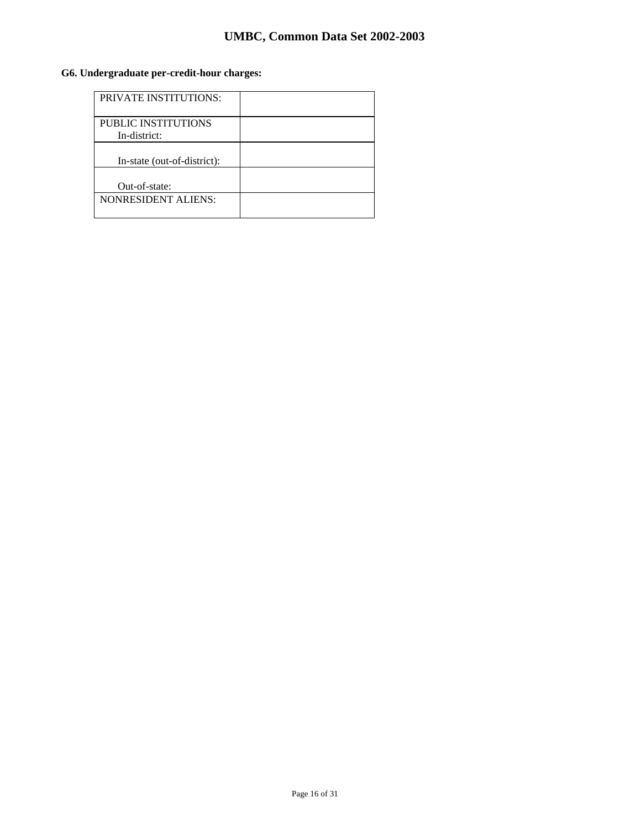## **G6. Undergraduate per-credit-hour charges:**

| <b>PRIVATE INSTITUTIONS:</b>               |  |
|--------------------------------------------|--|
| <b>PUBLIC INSTITUTIONS</b><br>In-district: |  |
| In-state (out-of-district):                |  |
| Out-of-state:                              |  |
| <b>NONRESIDENT ALIENS:</b>                 |  |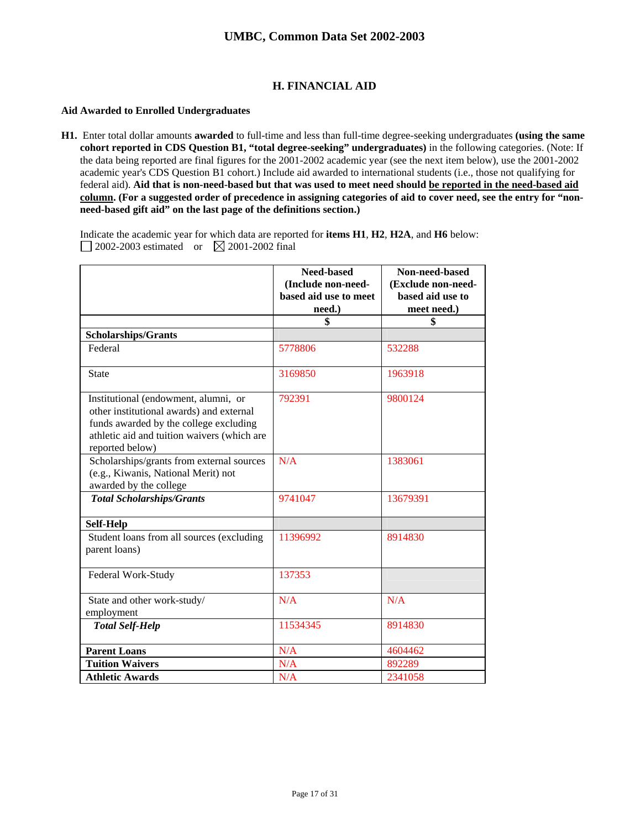## **H. FINANCIAL AID**

### **Aid Awarded to Enrolled Undergraduates**

**H1.** Enter total dollar amounts **awarded** to full-time and less than full-time degree-seeking undergraduates **(using the same cohort reported in CDS Question B1, "total degree-seeking" undergraduates)** in the following categories. (Note: If the data being reported are final figures for the 2001-2002 academic year (see the next item below), use the 2001-2002 academic year's CDS Question B1 cohort.) Include aid awarded to international students (i.e., those not qualifying for federal aid). **Aid that is non-need-based but that was used to meet need should be reported in the need-based aid column. (For a suggested order of precedence in assigning categories of aid to cover need, see the entry for "nonneed-based gift aid" on the last page of the definitions section.)** 

Indicate the academic year for which data are reported for **items H1**, **H2**, **H2A**, and **H6** below: 2002-2003 estimated or  $\boxtimes$  2001-2002 final

|                                                                                                                                                                                              | Need-based            | Non-need-based     |
|----------------------------------------------------------------------------------------------------------------------------------------------------------------------------------------------|-----------------------|--------------------|
|                                                                                                                                                                                              | (Include non-need-    | (Exclude non-need- |
|                                                                                                                                                                                              | based aid use to meet | based aid use to   |
|                                                                                                                                                                                              | need.)                | meet need.)        |
|                                                                                                                                                                                              | \$                    | \$                 |
| Scholarships/Grants                                                                                                                                                                          |                       |                    |
| Federal                                                                                                                                                                                      | 5778806               | 532288             |
| <b>State</b>                                                                                                                                                                                 | 3169850               | 1963918            |
| Institutional (endowment, alumni, or<br>other institutional awards) and external<br>funds awarded by the college excluding<br>athletic aid and tuition waivers (which are<br>reported below) | 792391                | 9800124            |
| Scholarships/grants from external sources<br>(e.g., Kiwanis, National Merit) not<br>awarded by the college                                                                                   | N/A                   | 1383061            |
| <b>Total Scholarships/Grants</b>                                                                                                                                                             | 9741047               | 13679391           |
| Self-Help                                                                                                                                                                                    |                       |                    |
| Student loans from all sources (excluding<br>parent loans)                                                                                                                                   | 11396992              | 8914830            |
| Federal Work-Study                                                                                                                                                                           | 137353                |                    |
| State and other work-study/<br>employment                                                                                                                                                    | N/A                   | N/A                |
| <b>Total Self-Help</b>                                                                                                                                                                       | 11534345              | 8914830            |
| <b>Parent Loans</b>                                                                                                                                                                          | N/A                   | 4604462            |
| <b>Tuition Waivers</b>                                                                                                                                                                       | N/A                   | 892289             |
| <b>Athletic Awards</b>                                                                                                                                                                       | N/A                   | 2341058            |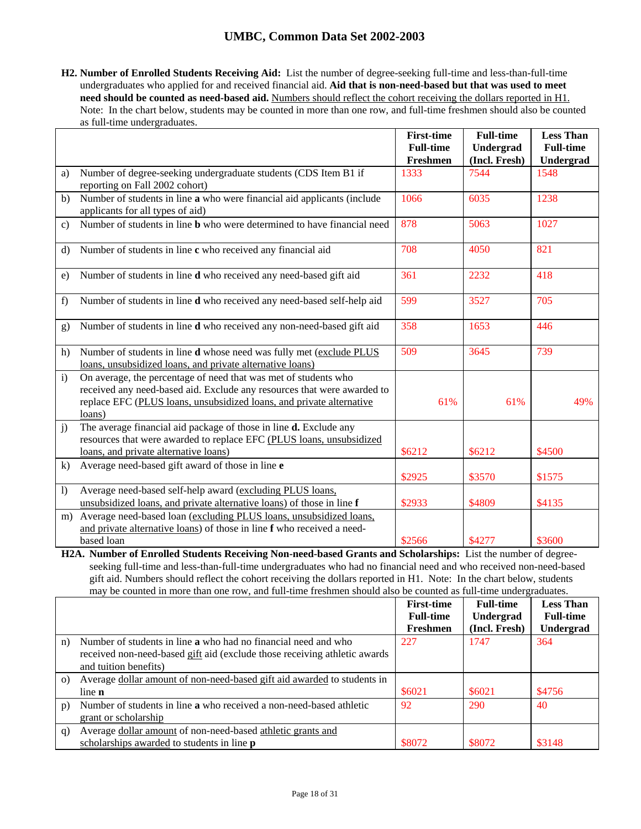**H2. Number of Enrolled Students Receiving Aid:** List the number of degree-seeking full-time and less-than-full-time undergraduates who applied for and received financial aid. **Aid that is non-need-based but that was used to meet need should be counted as need-based aid.** Numbers should reflect the cohort receiving the dollars reported in H1. Note: In the chart below, students may be counted in more than one row, and full-time freshmen should also be counted as full-time undergraduates.

|                |                                                                                                                                                                                                                              | <b>First-time</b><br><b>Full-time</b> | <b>Full-time</b><br>Undergrad | <b>Less Than</b><br><b>Full-time</b> |
|----------------|------------------------------------------------------------------------------------------------------------------------------------------------------------------------------------------------------------------------------|---------------------------------------|-------------------------------|--------------------------------------|
|                |                                                                                                                                                                                                                              | Freshmen                              | (Incl. Fresh)                 | Undergrad                            |
| a)             | Number of degree-seeking undergraduate students (CDS Item B1 if<br>reporting on Fall 2002 cohort)                                                                                                                            | 1333                                  | 7544                          | 1548                                 |
| b)             | Number of students in line a who were financial aid applicants (include<br>applicants for all types of aid)                                                                                                                  | 1066                                  | 6035                          | 1238                                 |
| $\mathbf{c}$   | Number of students in line <b>b</b> who were determined to have financial need                                                                                                                                               | 878                                   | 5063                          | 1027                                 |
| $\rm d$        | Number of students in line c who received any financial aid                                                                                                                                                                  | 708                                   | 4050                          | 821                                  |
| e)             | Number of students in line <b>d</b> who received any need-based gift aid                                                                                                                                                     | 361                                   | 2232                          | 418                                  |
| f)             | Number of students in line d who received any need-based self-help aid                                                                                                                                                       | 599                                   | 3527                          | 705                                  |
| g)             | Number of students in line <b>d</b> who received any non-need-based gift aid                                                                                                                                                 | 358                                   | 1653                          | 446                                  |
| h)             | Number of students in line d whose need was fully met (exclude PLUS<br>loans, unsubsidized loans, and private alternative loans)                                                                                             | 509                                   | 3645                          | 739                                  |
| $\mathbf{i}$   | On average, the percentage of need that was met of students who<br>received any need-based aid. Exclude any resources that were awarded to<br>replace EFC (PLUS loans, unsubsidized loans, and private alternative<br>loans) | 61%                                   | 61%                           | 49%                                  |
| $\ddot{1}$     | The average financial aid package of those in line d. Exclude any<br>resources that were awarded to replace EFC (PLUS loans, unsubsidized<br>loans, and private alternative loans)                                           | \$6212                                | \$6212                        | \$4500                               |
| $\bf k$        | Average need-based gift award of those in line e                                                                                                                                                                             | \$2925                                | \$3570                        | \$1575                               |
| $\overline{1}$ | Average need-based self-help award (excluding PLUS loans,<br>unsubsidized loans, and private alternative loans) of those in line f                                                                                           | \$2933                                | \$4809                        | \$4135                               |
| m)             | Average need-based loan (excluding PLUS loans, unsubsidized loans,<br>and private alternative loans) of those in line f who received a need-<br>based loan                                                                   | \$2566                                | \$4277                        | \$3600                               |

**H2A. Number of Enrolled Students Receiving Non-need-based Grants and Scholarships:** List the number of degreeseeking full-time and less-than-full-time undergraduates who had no financial need and who received non-need-based gift aid. Numbers should reflect the cohort receiving the dollars reported in H1. Note: In the chart below, students may be counted in more than one row, and full-time freshmen should also be counted as full-time undergraduates.

|          |                                                                            | <b>First-time</b> | <b>Full-time</b> | <b>Less Than</b> |
|----------|----------------------------------------------------------------------------|-------------------|------------------|------------------|
|          |                                                                            | <b>Full-time</b>  | Undergrad        | <b>Full-time</b> |
|          |                                                                            | Freshmen          | (Incl. Fresh)    | Undergrad        |
| n)       | Number of students in line a who had no financial need and who             | 227               | 1747             | 364              |
|          | received non-need-based gift aid (exclude those receiving athletic awards  |                   |                  |                  |
|          | and tuition benefits)                                                      |                   |                  |                  |
| $\Omega$ | Average dollar amount of non-need-based gift aid awarded to students in    |                   |                  |                  |
|          | line <b>n</b>                                                              | \$6021            | \$6021           | \$4756           |
| p)       | Number of students in line <b>a</b> who received a non-need-based athletic | 92                | 290              | 40               |
|          | grant or scholarship                                                       |                   |                  |                  |
| q)       | Average dollar amount of non-need-based athletic grants and                |                   |                  |                  |
|          | scholarships awarded to students in line <b>p</b>                          | \$8072            | \$8072           | \$3148           |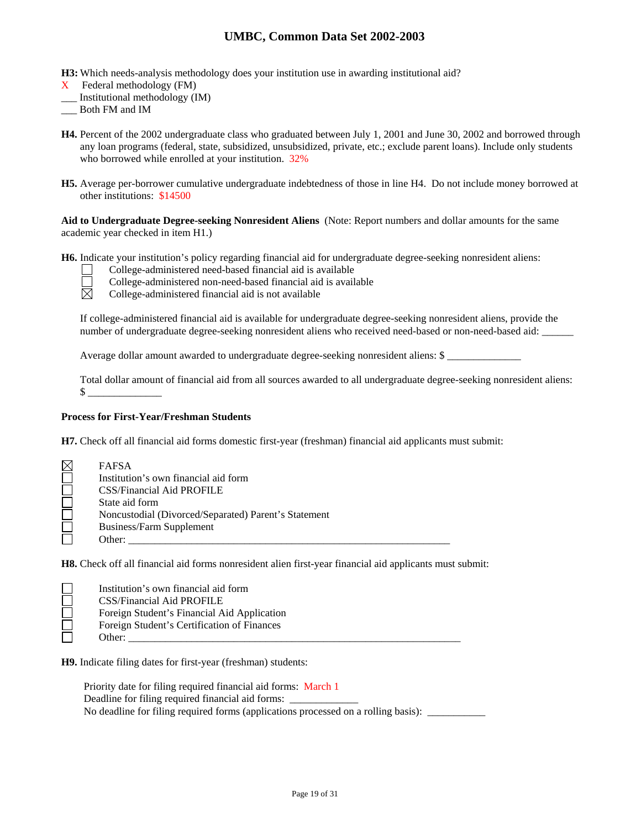**H3:** Which needs-analysis methodology does your institution use in awarding institutional aid?

- X Federal methodology (FM)
- \_\_\_ Institutional methodology (IM)
- \_\_\_ Both FM and IM
- **H4.** Percent of the 2002 undergraduate class who graduated between July 1, 2001 and June 30, 2002 and borrowed through any loan programs (federal, state, subsidized, unsubsidized, private, etc.; exclude parent loans). Include only students who borrowed while enrolled at your institution. 32%
- **H5.** Average per-borrower cumulative undergraduate indebtedness of those in line H4. Do not include money borrowed at other institutions: \$14500

**Aid to Undergraduate Degree-seeking Nonresident Aliens** (Note: Report numbers and dollar amounts for the same academic year checked in item H1.)

**H6.** Indicate your institution's policy regarding financial aid for undergraduate degree-seeking nonresident aliens:

College-administered need-based financial aid is available

⊠

College-administered non-need-based financial aid is available

College-administered financial aid is not available

If college-administered financial aid is available for undergraduate degree-seeking nonresident aliens, provide the number of undergraduate degree-seeking nonresident aliens who received need-based or non-need-based aid:

Average dollar amount awarded to undergraduate degree-seeking nonresident aliens: \$

Total dollar amount of financial aid from all sources awarded to all undergraduate degree-seeking nonresident aliens:  $\mathcal{S}$ 

### **Process for First-Year/Freshman Students**

**H7.** Check off all financial aid forms domestic first-year (freshman) financial aid applicants must submit:

| <b>FAFSA</b>                                         |
|------------------------------------------------------|
| Institution's own financial aid form                 |
| <b>CSS/Financial Aid PROFILE</b>                     |
| State aid form                                       |
| Noncustodial (Divorced/Separated) Parent's Statement |
| Business/Farm Supplement                             |
| Other:                                               |

**H8.** Check off all financial aid forms nonresident alien first-year financial aid applicants must submit:

| Institution's own financial aid form        |
|---------------------------------------------|
| CSS/Financial Aid PROFILE                   |
| Foreign Student's Financial Aid Application |
| Foreign Student's Certification of Finances |
| Other:                                      |

**H9.** Indicate filing dates for first-year (freshman) students:

Priority date for filing required financial aid forms: March 1 Deadline for filing required financial aid forms: No deadline for filing required forms (applications processed on a rolling basis): \_\_\_\_\_\_\_\_\_\_\_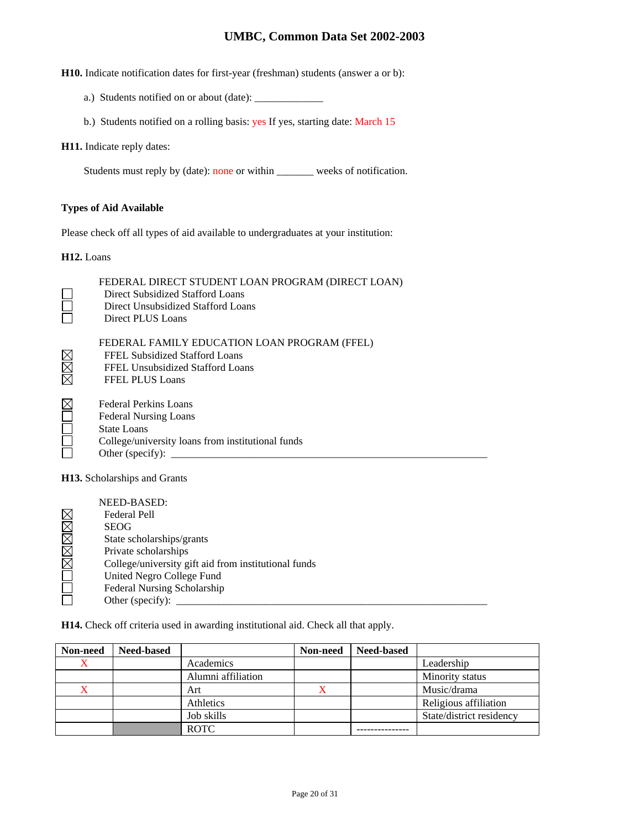**H10.** Indicate notification dates for first-year (freshman) students (answer a or b):

- a.) Students notified on or about (date): \_\_\_\_\_\_\_\_\_\_\_\_\_
- b.) Students notified on a rolling basis: yes If yes, starting date: March 15

### **H11.** Indicate reply dates:

Students must reply by (date): none or within \_\_\_\_\_\_\_ weeks of notification.

### **Types of Aid Available**

Please check off all types of aid available to undergraduates at your institution:

**H12.** Loans

| FEDERAL DIRECT STUDENT LOAN PROGRAM (DIRECT LOAN)<br>Direct Subsidized Stafford Loans<br>Direct Unsubsidized Stafford Loans<br>Direct PLUS Loans                     |
|----------------------------------------------------------------------------------------------------------------------------------------------------------------------|
| FEDERAL FAMILY EDUCATION LOAN PROGRAM (FFEL)<br>FFEL Subsidized Stafford Loans<br>FFEL Unsubsidized Stafford Loans<br><b>FFEL PLUS Loans</b>                         |
| Federal Perkins Loans<br><b>Federal Nursing Loans</b><br><b>State Loans</b><br>College/university loans from institutional funds<br>Other (specify): $\qquad \qquad$ |
| <b>H13.</b> Scholarships and Grants                                                                                                                                  |

| NEED-BASED:                                          |
|------------------------------------------------------|
| Federal Pell                                         |
| <b>SEOG</b>                                          |
| State scholarships/grants                            |
| Private scholarships                                 |
| College/university gift aid from institutional funds |
| United Negro College Fund                            |
| Federal Nursing Scholarship                          |
| Other (specify):                                     |

**H14.** Check off criteria used in awarding institutional aid. Check all that apply.

| Non-need | <b>Need-based</b> |                    | Non-need | <b>Need-based</b> |                          |
|----------|-------------------|--------------------|----------|-------------------|--------------------------|
| X        |                   | Academics          |          |                   | Leadership               |
|          |                   | Alumni affiliation |          |                   | Minority status          |
|          |                   | Art                |          |                   | Music/drama              |
|          |                   | Athletics          |          |                   | Religious affiliation    |
|          |                   | Job skills         |          |                   | State/district residency |
|          |                   | <b>ROTC</b>        |          |                   |                          |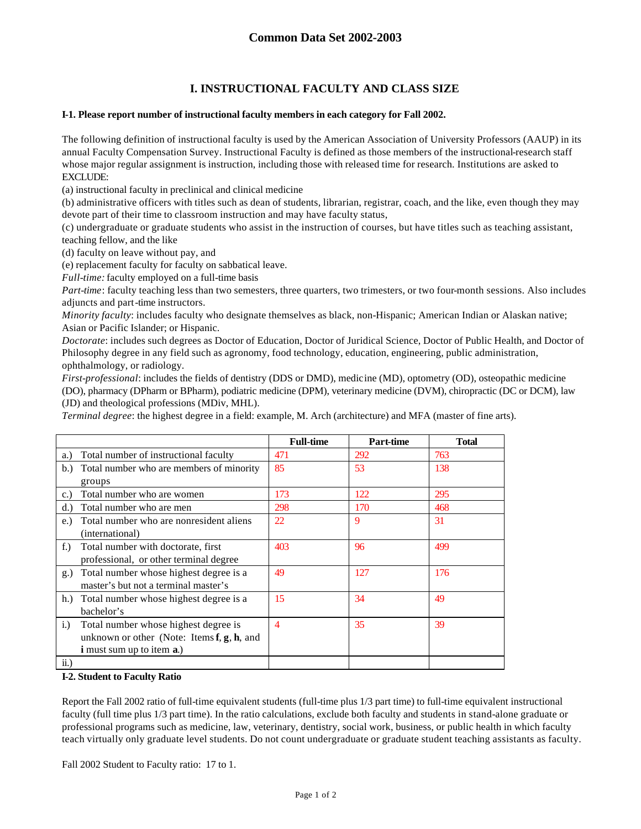## **I. INSTRUCTIONAL FACULTY AND CLASS SIZE**

### **I-1. Please report number of instructional faculty members in each category for Fall 2002.**

The following definition of instructional faculty is used by the American Association of University Professors (AAUP) in its annual Faculty Compensation Survey. Instructional Faculty is defined as those members of the instructional-research staff whose major regular assignment is instruction, including those with released time for research. Institutions are asked to EXCLUDE:

(a) instructional faculty in preclinical and clinical medicine

(b) administrative officers with titles such as dean of students, librarian, registrar, coach, and the like, even though they may devote part of their time to classroom instruction and may have faculty status,

(c) undergraduate or graduate students who assist in the instruction of courses, but have titles such as teaching assistant, teaching fellow, and the like

(d) faculty on leave without pay, and

(e) replacement faculty for faculty on sabbatical leave.

*Full-time:* faculty employed on a full-time basis

*Part-time*: faculty teaching less than two semesters, three quarters, two trimesters, or two four-month sessions. Also includes adjuncts and part-time instructors.

*Minority faculty*: includes faculty who designate themselves as black, non-Hispanic; American Indian or Alaskan native; Asian or Pacific Islander; or Hispanic.

*Doctorate*: includes such degrees as Doctor of Education, Doctor of Juridical Science, Doctor of Public Health, and Doctor of Philosophy degree in any field such as agronomy, food technology, education, engineering, public administration, ophthalmology, or radiology.

*First-professional*: includes the fields of dentistry (DDS or DMD), medicine (MD), optometry (OD), osteopathic medicine (DO), pharmacy (DPharm or BPharm), podiatric medicine (DPM), veterinary medicine (DVM), chiropractic (DC or DCM), law (JD) and theological professions (MDiv, MHL).

*Terminal degree*: the highest degree in a field: example, M. Arch (architecture) and MFA (master of fine arts).

|                                                                                                                                            | <b>Full-time</b> | Part-time | <b>Total</b> |
|--------------------------------------------------------------------------------------------------------------------------------------------|------------------|-----------|--------------|
| Total number of instructional faculty<br>a.)                                                                                               | 471              | 292       | 763          |
| Total number who are members of minority<br>b.<br>groups                                                                                   | 85               | 53        | 138          |
| Total number who are women<br>$\mathbf{c}$ .)                                                                                              | 173              | 122       | 295          |
| Total number who are men<br>d.)                                                                                                            | 298              | 170       | 468          |
| Total number who are nonresident aliens<br>e.)<br>(international)                                                                          | 22               | 9         | 31           |
| Total number with doctorate, first<br>f.)<br>professional, or other terminal degree                                                        | 403              | 96        | 499          |
| Total number whose highest degree is a<br>g.)<br>master's but not a terminal master's                                                      | 49               | 127       | 176          |
| Total number whose highest degree is a<br>h.<br>bachelor's                                                                                 | 15               | 34        | 49           |
| $i$ .<br>Total number whose highest degree is<br>unknown or other (Note: Items $f, g, h$ , and<br><b>i</b> must sum up to item <b>a</b> .) | $\overline{4}$   | 35        | 39           |
| ii.)                                                                                                                                       |                  |           |              |

#### **I-2. Student to Faculty Ratio**

Report the Fall 2002 ratio of full-time equivalent students (full-time plus 1/3 part time) to full-time equivalent instructional faculty (full time plus 1/3 part time). In the ratio calculations, exclude both faculty and students in stand-alone graduate or professional programs such as medicine, law, veterinary, dentistry, social work, business, or public health in which faculty teach virtually only graduate level students. Do not count undergraduate or graduate student teaching assistants as faculty.

Fall 2002 Student to Faculty ratio: 17 to 1.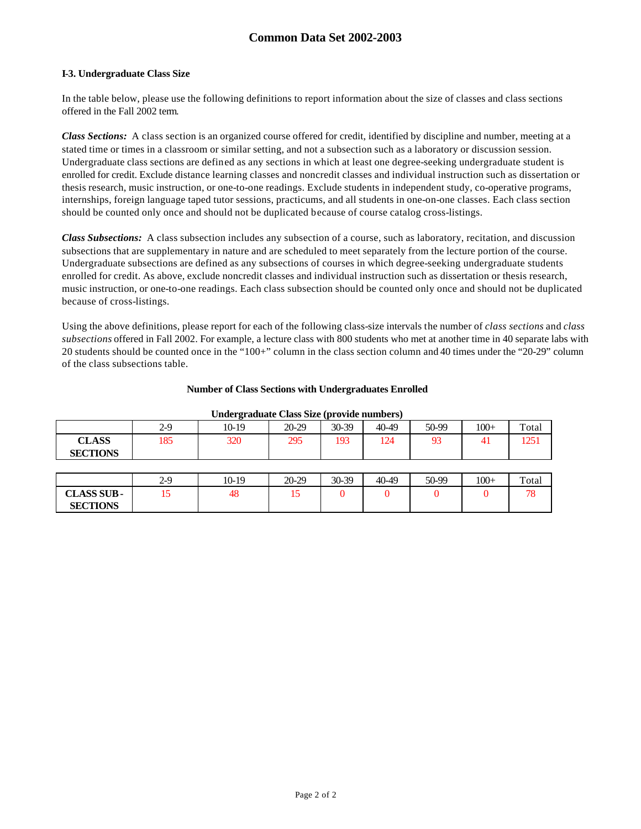## **Common Data Set 2002-2003**

### **I-3. Undergraduate Class Size**

In the table below, please use the following definitions to report information about the size of classes and class sections offered in the Fall 2002 term.

*Class Sections:* A class section is an organized course offered for credit, identified by discipline and number, meeting at a stated time or times in a classroom or similar setting, and not a subsection such as a laboratory or discussion session. Undergraduate class sections are defined as any sections in which at least one degree-seeking undergraduate student is enrolled for credit. Exclude distance learning classes and noncredit classes and individual instruction such as dissertation or thesis research, music instruction, or one-to-one readings. Exclude students in independent study, co-operative programs, internships, foreign language taped tutor sessions, practicums, and all students in one-on-one classes. Each class section should be counted only once and should not be duplicated because of course catalog cross-listings.

*Class Subsections:* A class subsection includes any subsection of a course, such as laboratory, recitation, and discussion subsections that are supplementary in nature and are scheduled to meet separately from the lecture portion of the course. Undergraduate subsections are defined as any subsections of courses in which degree-seeking undergraduate students enrolled for credit. As above, exclude noncredit classes and individual instruction such as dissertation or thesis research, music instruction, or one-to-one readings. Each class subsection should be counted only once and should not be duplicated because of cross-listings.

Using the above definitions, please report for each of the following class-size intervals the number of *class sections* and *class subsections* offered in Fall 2002. For example, a lecture class with 800 students who met at another time in 40 separate labs with 20 students should be counted once in the "100+" column in the class section column and 40 times under the "20-29" column of the class subsections table.

| Undergraduate Class Size (provide numbers) |       |         |         |         |       |       |        |       |
|--------------------------------------------|-------|---------|---------|---------|-------|-------|--------|-------|
|                                            | $2-9$ | 10-19   | $20-29$ | $30-39$ | 40-49 | 50-99 | $100+$ | Total |
| <b>CLASS</b><br><b>SECTIONS</b>            | 185   | 320     | 295     | 193     | 124   | 93    | 41     | 1251  |
|                                            |       |         |         |         |       |       |        |       |
|                                            | $2-9$ | $10-19$ | $20-29$ | 30-39   | 40-49 | 50-99 | $100+$ | Total |
| <b>CLASS SUB-</b>                          | 15    | 48      | 15      |         |       |       |        | 78    |
| <b>SECTIONS</b>                            |       |         |         |         |       |       |        |       |

#### **Number of Class Sections with Undergraduates Enrolled**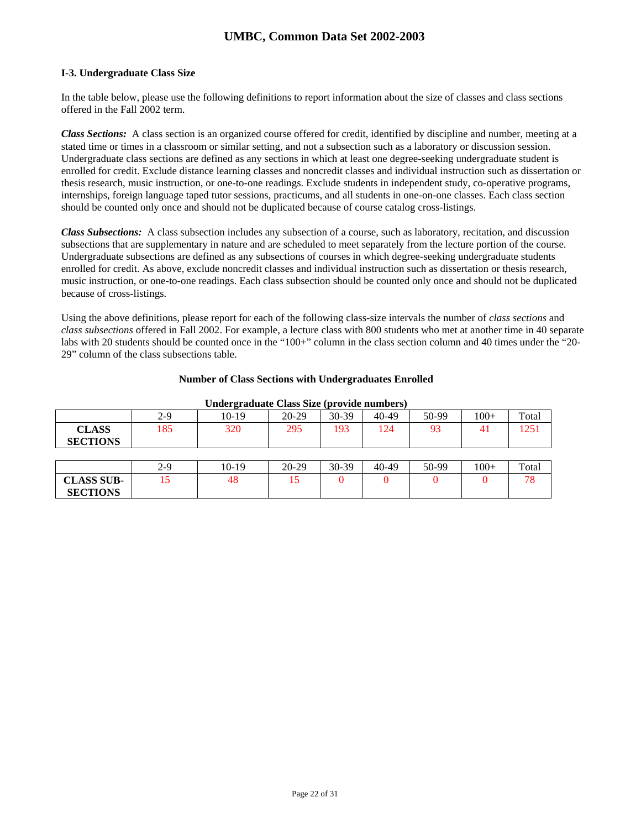### **I-3. Undergraduate Class Size**

In the table below, please use the following definitions to report information about the size of classes and class sections offered in the Fall 2002 term.

*Class Sections:* A class section is an organized course offered for credit, identified by discipline and number, meeting at a stated time or times in a classroom or similar setting, and not a subsection such as a laboratory or discussion session. Undergraduate class sections are defined as any sections in which at least one degree-seeking undergraduate student is enrolled for credit. Exclude distance learning classes and noncredit classes and individual instruction such as dissertation or thesis research, music instruction, or one-to-one readings. Exclude students in independent study, co-operative programs, internships, foreign language taped tutor sessions, practicums, and all students in one-on-one classes. Each class section should be counted only once and should not be duplicated because of course catalog cross-listings.

*Class Subsections:* A class subsection includes any subsection of a course, such as laboratory, recitation, and discussion subsections that are supplementary in nature and are scheduled to meet separately from the lecture portion of the course. Undergraduate subsections are defined as any subsections of courses in which degree-seeking undergraduate students enrolled for credit. As above, exclude noncredit classes and individual instruction such as dissertation or thesis research, music instruction, or one-to-one readings. Each class subsection should be counted only once and should not be duplicated because of cross-listings.

Using the above definitions, please report for each of the following class-size intervals the number of *class sections* and *class subsections* offered in Fall 2002. For example, a lecture class with 800 students who met at another time in 40 separate labs with 20 students should be counted once in the "100+" column in the class section column and 40 times under the "20-29" column of the class subsections table.

### **Number of Class Sections with Undergraduates Enrolled**

|                   | --------- |         |           |           |       |       |        |       |
|-------------------|-----------|---------|-----------|-----------|-------|-------|--------|-------|
|                   | $2-9$     | $10-19$ | $20 - 29$ | 30-39     | 40-49 | 50-99 | $100+$ | Total |
| <b>CLASS</b>      | 185       | 320     | 295       | 193       | 124   | 93    | 4      | 1251  |
| <b>SECTIONS</b>   |           |         |           |           |       |       |        |       |
|                   |           |         |           |           |       |       |        |       |
|                   | $2-9$     | $10-19$ | $20 - 29$ | $30 - 39$ | 40-49 | 50-99 | $100+$ | Total |
| <b>CLASS SUB-</b> | 15        | 48      | 15        |           |       |       |        | 78    |
| <b>SECTIONS</b>   |           |         |           |           |       |       |        |       |

#### **Undergraduate Class Size (provide numbers)**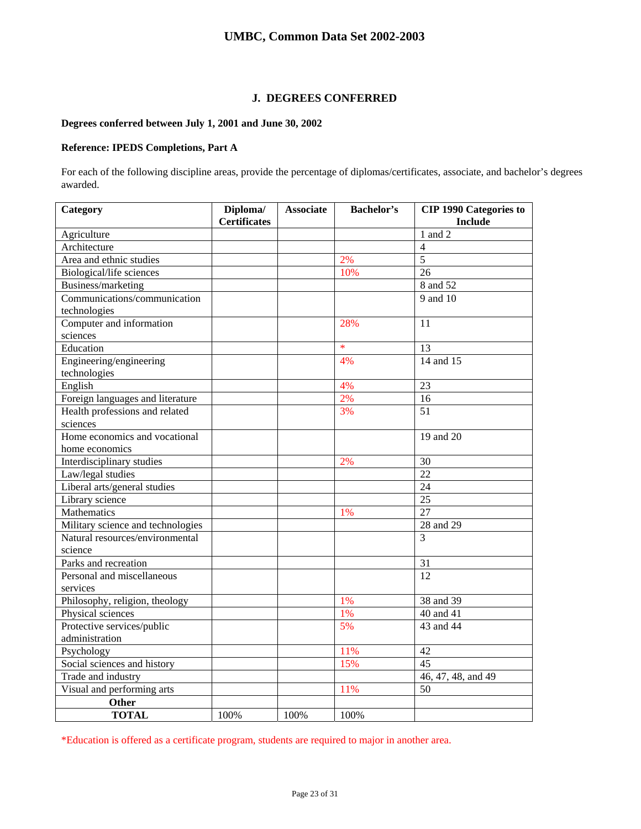## **J. DEGREES CONFERRED**

## **Degrees conferred between July 1, 2001 and June 30, 2002**

## **Reference: IPEDS Completions, Part A**

For each of the following discipline areas, provide the percentage of diplomas/certificates, associate, and bachelor's degrees awarded.

| Category                          | Diploma/            | <b>Associate</b> | <b>Bachelor's</b> | <b>CIP 1990 Categories to</b> |
|-----------------------------------|---------------------|------------------|-------------------|-------------------------------|
|                                   | <b>Certificates</b> |                  |                   | <b>Include</b>                |
| Agriculture                       |                     |                  |                   | $1$ and $2$                   |
| Architecture                      |                     |                  |                   | 4                             |
| Area and ethnic studies           |                     |                  | 2%                | $\overline{5}$                |
| Biological/life sciences          |                     |                  | 10%               | 26                            |
| Business/marketing                |                     |                  |                   | 8 and 52                      |
| Communications/communication      |                     |                  |                   | 9 and 10                      |
| technologies                      |                     |                  |                   |                               |
| Computer and information          |                     |                  | 28%               | 11                            |
| sciences                          |                     |                  |                   |                               |
| Education                         |                     |                  | $\ast$            | 13                            |
| Engineering/engineering           |                     |                  | 4%                | 14 and 15                     |
| technologies                      |                     |                  |                   |                               |
| English                           |                     |                  | 4%                | 23                            |
| Foreign languages and literature  |                     |                  | 2%                | 16                            |
| Health professions and related    |                     |                  | 3%                | 51                            |
| sciences                          |                     |                  |                   |                               |
| Home economics and vocational     |                     |                  |                   | 19 and 20                     |
| home economics                    |                     |                  |                   |                               |
| Interdisciplinary studies         |                     |                  | 2%                | 30                            |
| Law/legal studies                 |                     |                  |                   | 22                            |
| Liberal arts/general studies      |                     |                  |                   | 24                            |
| Library science                   |                     |                  |                   | 25                            |
| Mathematics                       |                     |                  | 1%                | 27                            |
| Military science and technologies |                     |                  |                   | 28 and 29                     |
| Natural resources/environmental   |                     |                  |                   | 3                             |
| science                           |                     |                  |                   |                               |
| Parks and recreation              |                     |                  |                   | 31                            |
| Personal and miscellaneous        |                     |                  |                   | 12                            |
| services                          |                     |                  |                   |                               |
| Philosophy, religion, theology    |                     |                  | 1%                | 38 and 39                     |
| Physical sciences                 |                     |                  | 1%                | 40 and 41                     |
| Protective services/public        |                     |                  | 5%                | 43 and 44                     |
| administration                    |                     |                  |                   |                               |
| Psychology                        |                     |                  | 11%               | 42                            |
| Social sciences and history       |                     |                  | 15%               | 45                            |
| Trade and industry                |                     |                  |                   | 46, 47, 48, and 49            |
| Visual and performing arts        |                     |                  | 11%               | 50                            |
| <b>Other</b>                      |                     |                  |                   |                               |
| <b>TOTAL</b>                      | 100%                | 100%             | 100%              |                               |

\*Education is offered as a certificate program, students are required to major in another area.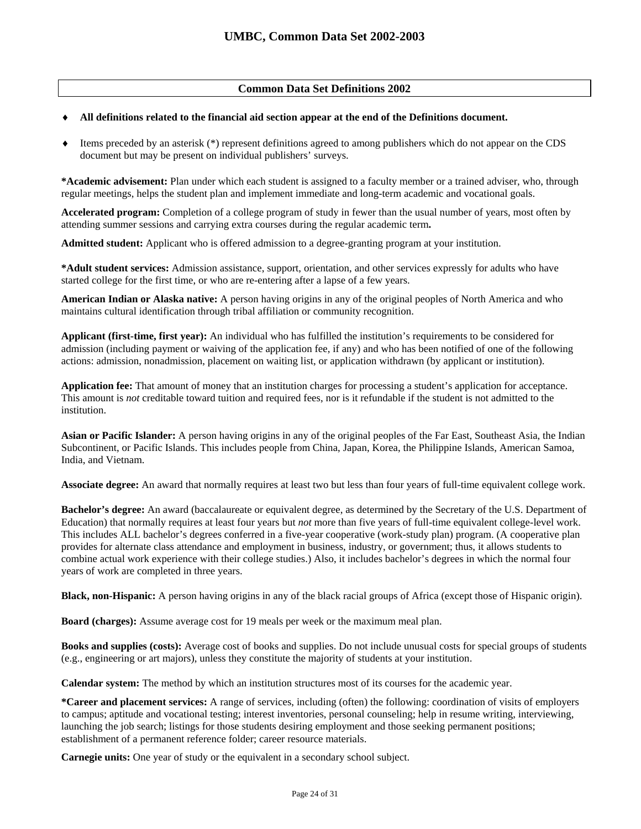## **Common Data Set Definitions 2002**

### All definitions related to the financial aid section appear at the end of the Definitions document.

♦ Items preceded by an asterisk (\*) represent definitions agreed to among publishers which do not appear on the CDS document but may be present on individual publishers' surveys.

**\*Academic advisement:** Plan under which each student is assigned to a faculty member or a trained adviser, who, through regular meetings, helps the student plan and implement immediate and long-term academic and vocational goals.

**Accelerated program:** Completion of a college program of study in fewer than the usual number of years, most often by attending summer sessions and carrying extra courses during the regular academic term**.** 

**Admitted student:** Applicant who is offered admission to a degree-granting program at your institution.

**\*Adult student services:** Admission assistance, support, orientation, and other services expressly for adults who have started college for the first time, or who are re-entering after a lapse of a few years.

**American Indian or Alaska native:** A person having origins in any of the original peoples of North America and who maintains cultural identification through tribal affiliation or community recognition.

**Applicant (first-time, first year):** An individual who has fulfilled the institution's requirements to be considered for admission (including payment or waiving of the application fee, if any) and who has been notified of one of the following actions: admission, nonadmission, placement on waiting list, or application withdrawn (by applicant or institution).

**Application fee:** That amount of money that an institution charges for processing a student's application for acceptance. This amount is *not* creditable toward tuition and required fees, nor is it refundable if the student is not admitted to the institution.

**Asian or Pacific Islander:** A person having origins in any of the original peoples of the Far East, Southeast Asia, the Indian Subcontinent, or Pacific Islands. This includes people from China, Japan, Korea, the Philippine Islands, American Samoa, India, and Vietnam.

**Associate degree:** An award that normally requires at least two but less than four years of full-time equivalent college work.

**Bachelor's degree:** An award (baccalaureate or equivalent degree, as determined by the Secretary of the U.S. Department of Education) that normally requires at least four years but *not* more than five years of full-time equivalent college-level work. This includes ALL bachelor's degrees conferred in a five-year cooperative (work-study plan) program. (A cooperative plan provides for alternate class attendance and employment in business, industry, or government; thus, it allows students to combine actual work experience with their college studies.) Also, it includes bachelor's degrees in which the normal four years of work are completed in three years.

**Black, non-Hispanic:** A person having origins in any of the black racial groups of Africa (except those of Hispanic origin).

**Board (charges):** Assume average cost for 19 meals per week or the maximum meal plan.

**Books and supplies (costs):** Average cost of books and supplies. Do not include unusual costs for special groups of students (e.g., engineering or art majors), unless they constitute the majority of students at your institution.

**Calendar system:** The method by which an institution structures most of its courses for the academic year.

**\*Career and placement services:** A range of services, including (often) the following: coordination of visits of employers to campus; aptitude and vocational testing; interest inventories, personal counseling; help in resume writing, interviewing, launching the job search; listings for those students desiring employment and those seeking permanent positions; establishment of a permanent reference folder; career resource materials.

**Carnegie units:** One year of study or the equivalent in a secondary school subject.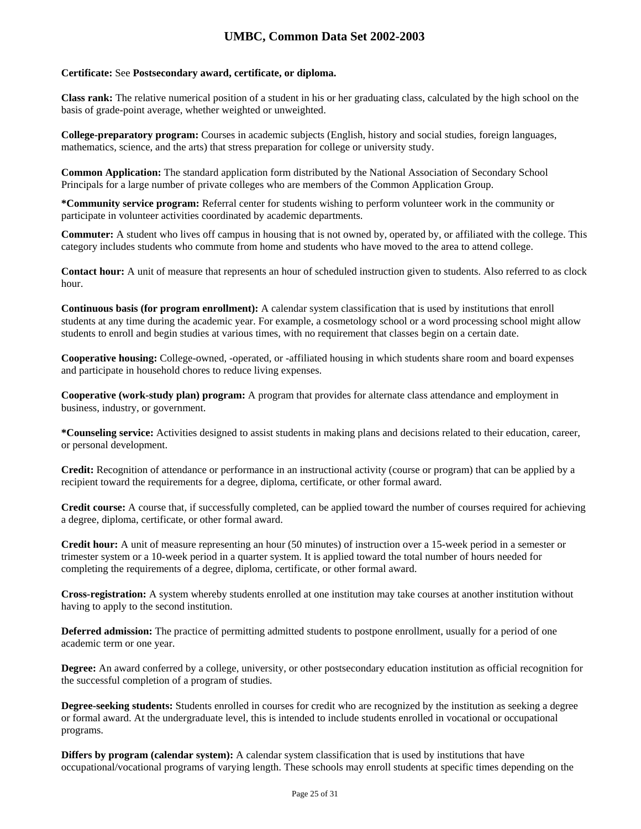### **Certificate:** See **Postsecondary award, certificate, or diploma.**

**Class rank:** The relative numerical position of a student in his or her graduating class, calculated by the high school on the basis of grade-point average, whether weighted or unweighted.

**College-preparatory program:** Courses in academic subjects (English, history and social studies, foreign languages, mathematics, science, and the arts) that stress preparation for college or university study.

**Common Application:** The standard application form distributed by the National Association of Secondary School Principals for a large number of private colleges who are members of the Common Application Group.

**\*Community service program:** Referral center for students wishing to perform volunteer work in the community or participate in volunteer activities coordinated by academic departments.

**Commuter:** A student who lives off campus in housing that is not owned by, operated by, or affiliated with the college. This category includes students who commute from home and students who have moved to the area to attend college.

**Contact hour:** A unit of measure that represents an hour of scheduled instruction given to students. Also referred to as clock hour.

**Continuous basis (for program enrollment):** A calendar system classification that is used by institutions that enroll students at any time during the academic year. For example, a cosmetology school or a word processing school might allow students to enroll and begin studies at various times, with no requirement that classes begin on a certain date.

**Cooperative housing:** College-owned, -operated, or -affiliated housing in which students share room and board expenses and participate in household chores to reduce living expenses.

**Cooperative (work-study plan) program:** A program that provides for alternate class attendance and employment in business, industry, or government.

**\*Counseling service:** Activities designed to assist students in making plans and decisions related to their education, career, or personal development.

**Credit:** Recognition of attendance or performance in an instructional activity (course or program) that can be applied by a recipient toward the requirements for a degree, diploma, certificate, or other formal award.

**Credit course:** A course that, if successfully completed, can be applied toward the number of courses required for achieving a degree, diploma, certificate, or other formal award.

**Credit hour:** A unit of measure representing an hour (50 minutes) of instruction over a 15-week period in a semester or trimester system or a 10-week period in a quarter system. It is applied toward the total number of hours needed for completing the requirements of a degree, diploma, certificate, or other formal award.

**Cross-registration:** A system whereby students enrolled at one institution may take courses at another institution without having to apply to the second institution.

**Deferred admission:** The practice of permitting admitted students to postpone enrollment, usually for a period of one academic term or one year.

**Degree:** An award conferred by a college, university, or other postsecondary education institution as official recognition for the successful completion of a program of studies.

**Degree-seeking students:** Students enrolled in courses for credit who are recognized by the institution as seeking a degree or formal award. At the undergraduate level, this is intended to include students enrolled in vocational or occupational programs.

**Differs by program (calendar system):** A calendar system classification that is used by institutions that have occupational/vocational programs of varying length. These schools may enroll students at specific times depending on the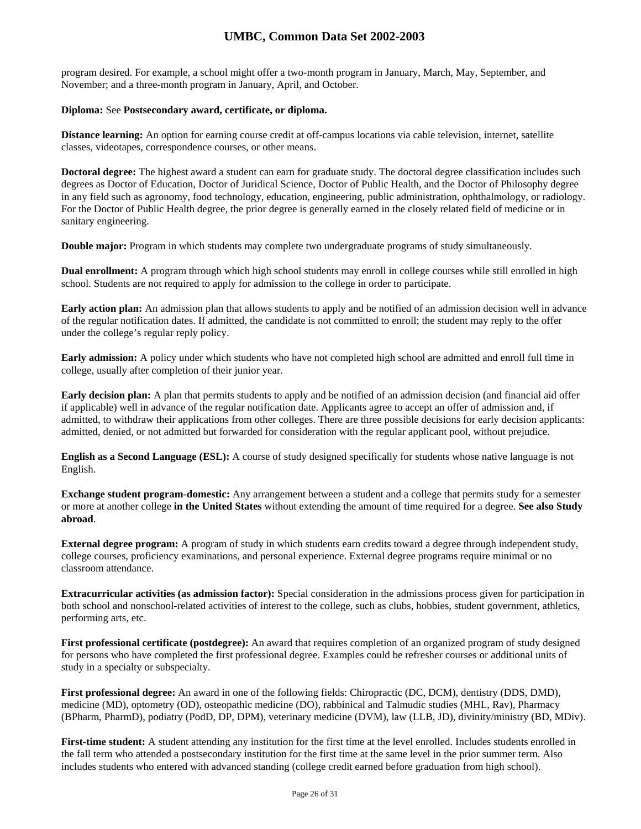program desired. For example, a school might offer a two-month program in January, March, May, September, and November; and a three-month program in January, April, and October.

### **Diploma:** See **Postsecondary award, certificate, or diploma.**

**Distance learning:** An option for earning course credit at off-campus locations via cable television, internet, satellite classes, videotapes, correspondence courses, or other means.

**Doctoral degree:** The highest award a student can earn for graduate study. The doctoral degree classification includes such degrees as Doctor of Education, Doctor of Juridical Science, Doctor of Public Health, and the Doctor of Philosophy degree in any field such as agronomy, food technology, education, engineering, public administration, ophthalmology, or radiology. For the Doctor of Public Health degree, the prior degree is generally earned in the closely related field of medicine or in sanitary engineering.

**Double major:** Program in which students may complete two undergraduate programs of study simultaneously.

**Dual enrollment:** A program through which high school students may enroll in college courses while still enrolled in high school. Students are not required to apply for admission to the college in order to participate.

**Early action plan:** An admission plan that allows students to apply and be notified of an admission decision well in advance of the regular notification dates. If admitted, the candidate is not committed to enroll; the student may reply to the offer under the college's regular reply policy.

**Early admission:** A policy under which students who have not completed high school are admitted and enroll full time in college, usually after completion of their junior year.

**Early decision plan:** A plan that permits students to apply and be notified of an admission decision (and financial aid offer if applicable) well in advance of the regular notification date. Applicants agree to accept an offer of admission and, if admitted, to withdraw their applications from other colleges. There are three possible decisions for early decision applicants: admitted, denied, or not admitted but forwarded for consideration with the regular applicant pool, without prejudice.

**English as a Second Language (ESL):** A course of study designed specifically for students whose native language is not English.

**Exchange student program-domestic:** Any arrangement between a student and a college that permits study for a semester or more at another college **in the United States** without extending the amount of time required for a degree. **See also Study abroad**.

**External degree program:** A program of study in which students earn credits toward a degree through independent study, college courses, proficiency examinations, and personal experience. External degree programs require minimal or no classroom attendance.

**Extracurricular activities (as admission factor):** Special consideration in the admissions process given for participation in both school and nonschool-related activities of interest to the college, such as clubs, hobbies, student government, athletics, performing arts, etc.

**First professional certificate (postdegree):** An award that requires completion of an organized program of study designed for persons who have completed the first professional degree. Examples could be refresher courses or additional units of study in a specialty or subspecialty.

**First professional degree:** An award in one of the following fields: Chiropractic (DC, DCM), dentistry (DDS, DMD), medicine (MD), optometry (OD), osteopathic medicine (DO), rabbinical and Talmudic studies (MHL, Rav), Pharmacy (BPharm, PharmD), podiatry (PodD, DP, DPM), veterinary medicine (DVM), law (LLB, JD), divinity/ministry (BD, MDiv).

**First-time student:** A student attending any institution for the first time at the level enrolled. Includes students enrolled in the fall term who attended a postsecondary institution for the first time at the same level in the prior summer term. Also includes students who entered with advanced standing (college credit earned before graduation from high school).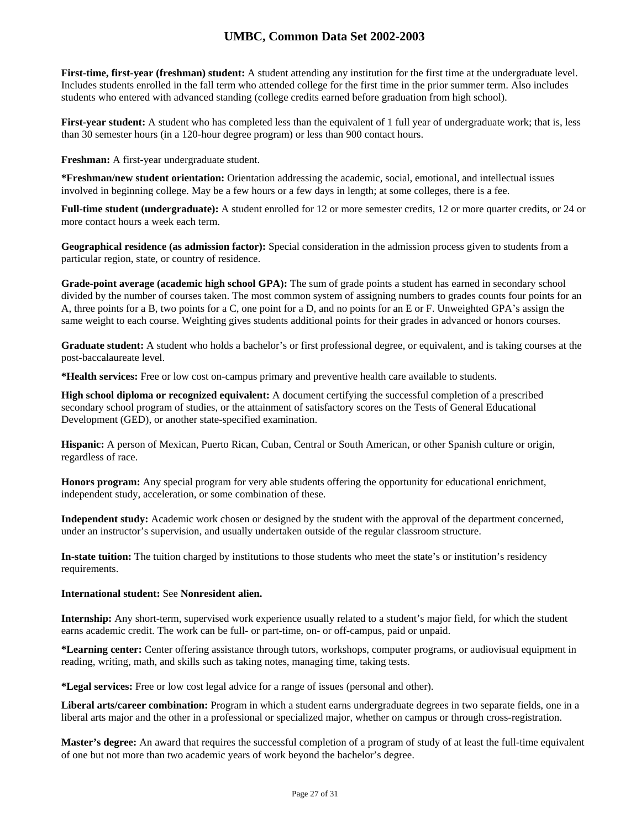**First-time, first-year (freshman) student:** A student attending any institution for the first time at the undergraduate level. Includes students enrolled in the fall term who attended college for the first time in the prior summer term. Also includes students who entered with advanced standing (college credits earned before graduation from high school).

**First-year student:** A student who has completed less than the equivalent of 1 full year of undergraduate work; that is, less than 30 semester hours (in a 120-hour degree program) or less than 900 contact hours.

**Freshman:** A first-year undergraduate student.

**\*Freshman/new student orientation:** Orientation addressing the academic, social, emotional, and intellectual issues involved in beginning college. May be a few hours or a few days in length; at some colleges, there is a fee.

**Full-time student (undergraduate):** A student enrolled for 12 or more semester credits, 12 or more quarter credits, or 24 or more contact hours a week each term.

**Geographical residence (as admission factor):** Special consideration in the admission process given to students from a particular region, state, or country of residence.

**Grade-point average (academic high school GPA):** The sum of grade points a student has earned in secondary school divided by the number of courses taken. The most common system of assigning numbers to grades counts four points for an A, three points for a B, two points for a C, one point for a D, and no points for an E or F. Unweighted GPA's assign the same weight to each course. Weighting gives students additional points for their grades in advanced or honors courses.

**Graduate student:** A student who holds a bachelor's or first professional degree, or equivalent, and is taking courses at the post-baccalaureate level.

**\*Health services:** Free or low cost on-campus primary and preventive health care available to students.

**High school diploma or recognized equivalent:** A document certifying the successful completion of a prescribed secondary school program of studies, or the attainment of satisfactory scores on the Tests of General Educational Development (GED), or another state-specified examination.

**Hispanic:** A person of Mexican, Puerto Rican, Cuban, Central or South American, or other Spanish culture or origin, regardless of race.

**Honors program:** Any special program for very able students offering the opportunity for educational enrichment, independent study, acceleration, or some combination of these.

**Independent study:** Academic work chosen or designed by the student with the approval of the department concerned, under an instructor's supervision, and usually undertaken outside of the regular classroom structure.

**In-state tuition:** The tuition charged by institutions to those students who meet the state's or institution's residency requirements.

#### **International student:** See **Nonresident alien.**

**Internship:** Any short-term, supervised work experience usually related to a student's major field, for which the student earns academic credit. The work can be full- or part-time, on- or off-campus, paid or unpaid.

**\*Learning center:** Center offering assistance through tutors, workshops, computer programs, or audiovisual equipment in reading, writing, math, and skills such as taking notes, managing time, taking tests.

**\*Legal services:** Free or low cost legal advice for a range of issues (personal and other).

**Liberal arts/career combination:** Program in which a student earns undergraduate degrees in two separate fields, one in a liberal arts major and the other in a professional or specialized major, whether on campus or through cross-registration.

**Master's degree:** An award that requires the successful completion of a program of study of at least the full-time equivalent of one but not more than two academic years of work beyond the bachelor's degree.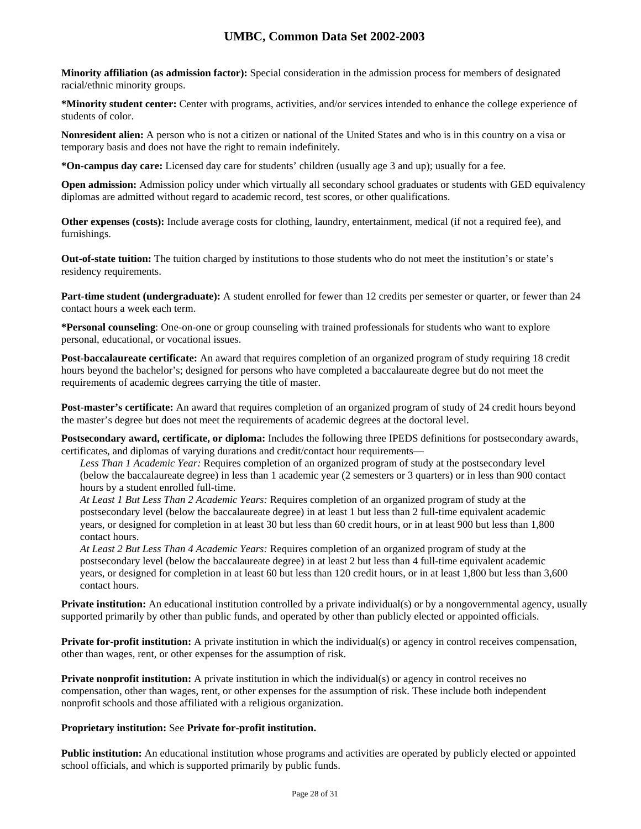**Minority affiliation (as admission factor):** Special consideration in the admission process for members of designated racial/ethnic minority groups.

**\*Minority student center:** Center with programs, activities, and/or services intended to enhance the college experience of students of color.

**Nonresident alien:** A person who is not a citizen or national of the United States and who is in this country on a visa or temporary basis and does not have the right to remain indefinitely.

**\*On-campus day care:** Licensed day care for students' children (usually age 3 and up); usually for a fee.

**Open admission:** Admission policy under which virtually all secondary school graduates or students with GED equivalency diplomas are admitted without regard to academic record, test scores, or other qualifications.

**Other expenses (costs):** Include average costs for clothing, laundry, entertainment, medical (if not a required fee), and furnishings.

**Out-of-state tuition:** The tuition charged by institutions to those students who do not meet the institution's or state's residency requirements.

**Part-time student (undergraduate):** A student enrolled for fewer than 12 credits per semester or quarter, or fewer than 24 contact hours a week each term.

**\*Personal counseling**: One-on-one or group counseling with trained professionals for students who want to explore personal, educational, or vocational issues.

**Post-baccalaureate certificate:** An award that requires completion of an organized program of study requiring 18 credit hours beyond the bachelor's; designed for persons who have completed a baccalaureate degree but do not meet the requirements of academic degrees carrying the title of master.

**Post-master's certificate:** An award that requires completion of an organized program of study of 24 credit hours beyond the master's degree but does not meet the requirements of academic degrees at the doctoral level.

**Postsecondary award, certificate, or diploma:** Includes the following three IPEDS definitions for postsecondary awards, certificates, and diplomas of varying durations and credit/contact hour requirements—

*Less Than 1 Academic Year:* Requires completion of an organized program of study at the postsecondary level (below the baccalaureate degree) in less than 1 academic year (2 semesters or 3 quarters) or in less than 900 contact hours by a student enrolled full-time.

*At Least 1 But Less Than 2 Academic Years:* Requires completion of an organized program of study at the postsecondary level (below the baccalaureate degree) in at least 1 but less than 2 full-time equivalent academic years, or designed for completion in at least 30 but less than 60 credit hours, or in at least 900 but less than 1,800 contact hours.

*At Least 2 But Less Than 4 Academic Years:* Requires completion of an organized program of study at the postsecondary level (below the baccalaureate degree) in at least 2 but less than 4 full-time equivalent academic years, or designed for completion in at least 60 but less than 120 credit hours, or in at least 1,800 but less than 3,600 contact hours.

**Private institution:** An educational institution controlled by a private individual(s) or by a nongovernmental agency, usually supported primarily by other than public funds, and operated by other than publicly elected or appointed officials.

**Private for-profit institution:** A private institution in which the individual(s) or agency in control receives compensation, other than wages, rent, or other expenses for the assumption of risk.

**Private nonprofit institution:** A private institution in which the individual(s) or agency in control receives no compensation, other than wages, rent, or other expenses for the assumption of risk. These include both independent nonprofit schools and those affiliated with a religious organization.

## **Proprietary institution:** See **Private for-profit institution.**

**Public institution:** An educational institution whose programs and activities are operated by publicly elected or appointed school officials, and which is supported primarily by public funds.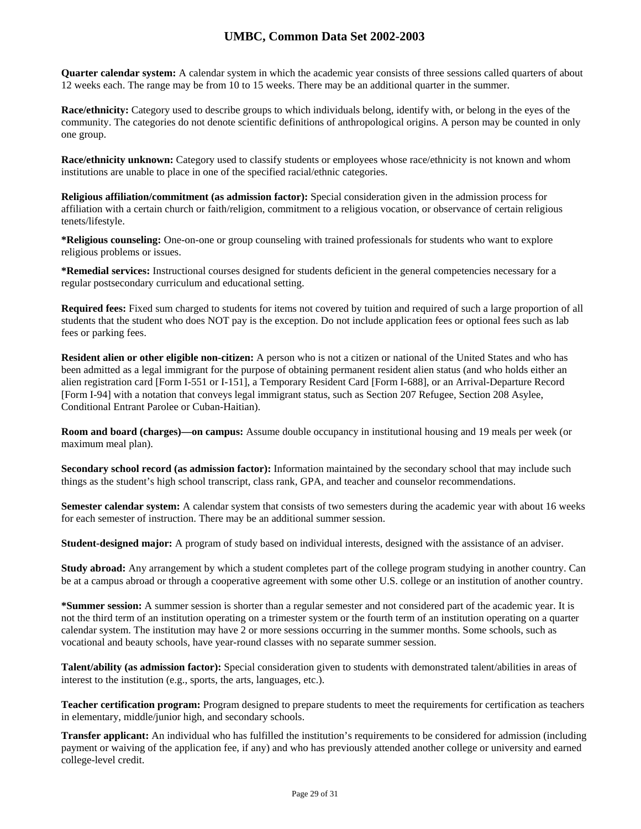**Quarter calendar system:** A calendar system in which the academic year consists of three sessions called quarters of about 12 weeks each. The range may be from 10 to 15 weeks. There may be an additional quarter in the summer.

**Race/ethnicity:** Category used to describe groups to which individuals belong, identify with, or belong in the eyes of the community. The categories do not denote scientific definitions of anthropological origins. A person may be counted in only one group.

**Race/ethnicity unknown:** Category used to classify students or employees whose race/ethnicity is not known and whom institutions are unable to place in one of the specified racial/ethnic categories.

**Religious affiliation/commitment (as admission factor):** Special consideration given in the admission process for affiliation with a certain church or faith/religion, commitment to a religious vocation, or observance of certain religious tenets/lifestyle.

**\*Religious counseling:** One-on-one or group counseling with trained professionals for students who want to explore religious problems or issues.

**\*Remedial services:** Instructional courses designed for students deficient in the general competencies necessary for a regular postsecondary curriculum and educational setting.

**Required fees:** Fixed sum charged to students for items not covered by tuition and required of such a large proportion of all students that the student who does NOT pay is the exception. Do not include application fees or optional fees such as lab fees or parking fees.

**Resident alien or other eligible non-citizen:** A person who is not a citizen or national of the United States and who has been admitted as a legal immigrant for the purpose of obtaining permanent resident alien status (and who holds either an alien registration card [Form I-551 or I-151], a Temporary Resident Card [Form I-688], or an Arrival-Departure Record [Form I-94] with a notation that conveys legal immigrant status, such as Section 207 Refugee, Section 208 Asylee, Conditional Entrant Parolee or Cuban-Haitian).

**Room and board (charges)—on campus:** Assume double occupancy in institutional housing and 19 meals per week (or maximum meal plan).

**Secondary school record (as admission factor):** Information maintained by the secondary school that may include such things as the student's high school transcript, class rank, GPA, and teacher and counselor recommendations.

**Semester calendar system:** A calendar system that consists of two semesters during the academic year with about 16 weeks for each semester of instruction. There may be an additional summer session.

**Student-designed major:** A program of study based on individual interests, designed with the assistance of an adviser.

**Study abroad:** Any arrangement by which a student completes part of the college program studying in another country. Can be at a campus abroad or through a cooperative agreement with some other U.S. college or an institution of another country.

**\*Summer session:** A summer session is shorter than a regular semester and not considered part of the academic year. It is not the third term of an institution operating on a trimester system or the fourth term of an institution operating on a quarter calendar system. The institution may have 2 or more sessions occurring in the summer months. Some schools, such as vocational and beauty schools, have year-round classes with no separate summer session.

**Talent/ability (as admission factor):** Special consideration given to students with demonstrated talent/abilities in areas of interest to the institution (e.g., sports, the arts, languages, etc.).

**Teacher certification program:** Program designed to prepare students to meet the requirements for certification as teachers in elementary, middle/junior high, and secondary schools.

**Transfer applicant:** An individual who has fulfilled the institution's requirements to be considered for admission (including payment or waiving of the application fee, if any) and who has previously attended another college or university and earned college-level credit.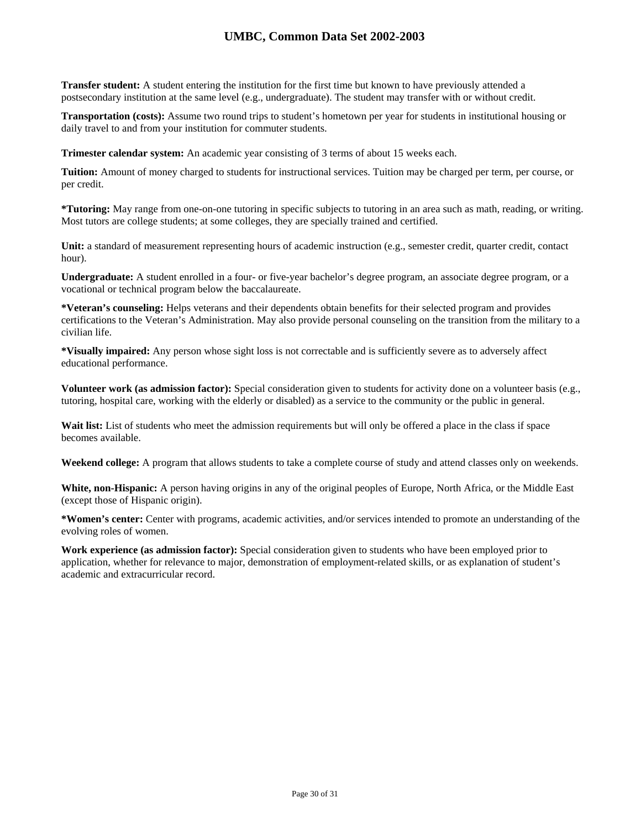**Transfer student:** A student entering the institution for the first time but known to have previously attended a postsecondary institution at the same level (e.g., undergraduate). The student may transfer with or without credit.

**Transportation (costs):** Assume two round trips to student's hometown per year for students in institutional housing or daily travel to and from your institution for commuter students.

**Trimester calendar system:** An academic year consisting of 3 terms of about 15 weeks each.

**Tuition:** Amount of money charged to students for instructional services. Tuition may be charged per term, per course, or per credit.

**\*Tutoring:** May range from one-on-one tutoring in specific subjects to tutoring in an area such as math, reading, or writing. Most tutors are college students; at some colleges, they are specially trained and certified.

**Unit:** a standard of measurement representing hours of academic instruction (e.g., semester credit, quarter credit, contact hour).

**Undergraduate:** A student enrolled in a four- or five-year bachelor's degree program, an associate degree program, or a vocational or technical program below the baccalaureate.

**\*Veteran's counseling:** Helps veterans and their dependents obtain benefits for their selected program and provides certifications to the Veteran's Administration. May also provide personal counseling on the transition from the military to a civilian life.

**\*Visually impaired:** Any person whose sight loss is not correctable and is sufficiently severe as to adversely affect educational performance.

**Volunteer work (as admission factor):** Special consideration given to students for activity done on a volunteer basis (e.g., tutoring, hospital care, working with the elderly or disabled) as a service to the community or the public in general.

Wait list: List of students who meet the admission requirements but will only be offered a place in the class if space becomes available.

**Weekend college:** A program that allows students to take a complete course of study and attend classes only on weekends.

**White, non-Hispanic:** A person having origins in any of the original peoples of Europe, North Africa, or the Middle East (except those of Hispanic origin).

**\*Women's center:** Center with programs, academic activities, and/or services intended to promote an understanding of the evolving roles of women.

**Work experience (as admission factor):** Special consideration given to students who have been employed prior to application, whether for relevance to major, demonstration of employment-related skills, or as explanation of student's academic and extracurricular record.